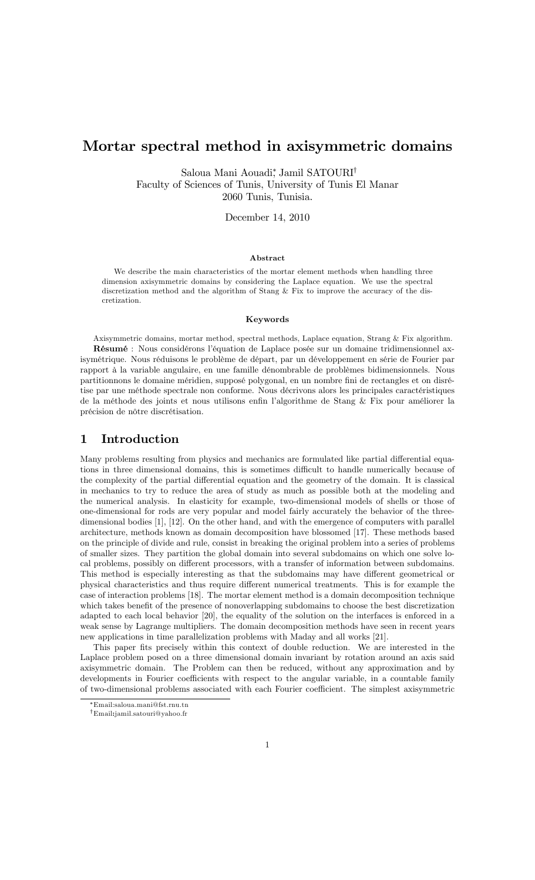# Mortar spectral method in axisymmetric domains

Saloua Mani Aouadi,\* Jamil SATOURI† Faculty of Sciences of Tunis, University of Tunis El Manar 2060 Tunis, Tunisia.

December 14, 2010

### Abstract

We describe the main characteristics of the mortar element methods when handling three dimension axisymmetric domains by considering the Laplace equation. We use the spectral discretization method and the algorithm of Stang & Fix to improve the accuracy of the discretization.

#### Keywords

Axisymmetric domains, mortar method, spectral methods, Laplace equation, Strang & Fix algorithm. Résumé : Nous considérons l'équation de Laplace posée sur un domaine tridimensionnel axisymétrique. Nous réduisons le problème de départ, par un développement en série de Fourier par rapport à la variable angulaire, en une famille dénombrable de problèmes bidimensionnels. Nous partitionnons le domaine méridien, supposé polygonal, en un nombre fini de rectangles et on disrétise par une méthode spectrale non conforme. Nous décrivons alors les principales caractéristiques de la méthode des joints et nous utilisons enfin l'algorithme de Stang & Fix pour améliorer la précision de nôtre discrétisation.

### 1 Introduction

Many problems resulting from physics and mechanics are formulated like partial differential equations in three dimensional domains, this is sometimes difficult to handle numerically because of the complexity of the partial differential equation and the geometry of the domain. It is classical in mechanics to try to reduce the area of study as much as possible both at the modeling and the numerical analysis. In elasticity for example, two-dimensional models of shells or those of one-dimensional for rods are very popular and model fairly accurately the behavior of the threedimensional bodies [1], [12]. On the other hand, and with the emergence of computers with parallel architecture, methods known as domain decomposition have blossomed [17]. These methods based on the principle of divide and rule, consist in breaking the original problem into a series of problems of smaller sizes. They partition the global domain into several subdomains on which one solve local problems, possibly on different processors, with a transfer of information between subdomains. This method is especially interesting as that the subdomains may have different geometrical or physical characteristics and thus require different numerical treatments. This is for example the case of interaction problems [18]. The mortar element method is a domain decomposition technique which takes benefit of the presence of nonoverlapping subdomains to choose the best discretization adapted to each local behavior [20], the equality of the solution on the interfaces is enforced in a weak sense by Lagrange multipliers. The domain decomposition methods have seen in recent years new applications in time parallelization problems with Maday and all works [21].

This paper fits precisely within this context of double reduction. We are interested in the Laplace problem posed on a three dimensional domain invariant by rotation around an axis said axisymmetric domain. The Problem can then be reduced, without any approximation and by developments in Fourier coefficients with respect to the angular variable, in a countable family of two-dimensional problems associated with each Fourier coefficient. The simplest axisymmetric

Email:saloua.mani@fst.rnu.tn yEmail:jamil.satouri@yahoo.fr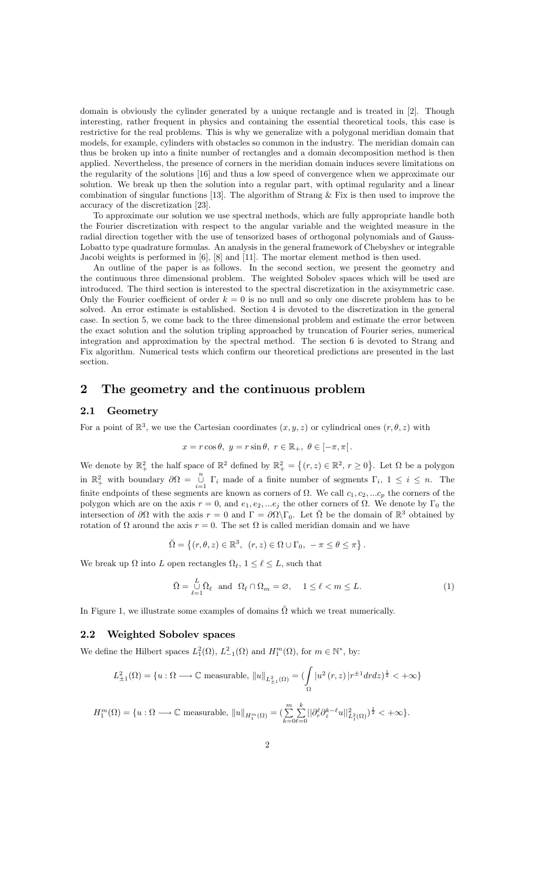domain is obviously the cylinder generated by a unique rectangle and is treated in [2]. Though interesting, rather frequent in physics and containing the essential theoretical tools, this case is restrictive for the real problems. This is why we generalize with a polygonal meridian domain that models, for example, cylinders with obstacles so common in the industry. The meridian domain can thus be broken up into a finite number of rectangles and a domain decomposition method is then applied. Nevertheless, the presence of corners in the meridian domain induces severe limitations on the regularity of the solutions [16] and thus a low speed of convergence when we approximate our solution. We break up then the solution into a regular part, with optimal regularity and a linear combination of singular functions [13]. The algorithm of Strang & Fix is then used to improve the accuracy of the discretization [23].

To approximate our solution we use spectral methods, which are fully appropriate handle both the Fourier discretization with respect to the angular variable and the weighted measure in the radial direction together with the use of tensorized bases of orthogonal polynomials and of Gauss-Lobatto type quadrature formulas. An analysis in the general framework of Chebyshev or integrable Jacobi weights is performed in [6], [8] and [11]. The mortar element method is then used.

An outline of the paper is as follows. In the second section, we present the geometry and the continuous three dimensional problem. The weighted Sobolev spaces which will be used are introduced. The third section is interested to the spectral discretization in the axisymmetric case. Only the Fourier coefficient of order  $k = 0$  is no null and so only one discrete problem has to be solved. An error estimate is established. Section 4 is devoted to the discretization in the general case. In section 5, we come back to the three dimensional problem and estimate the error between the exact solution and the solution tripling approached by truncation of Fourier series, numerical integration and approximation by the spectral method. The section 6 is devoted to Strang and Fix algorithm. Numerical tests which confirm our theoretical predictions are presented in the last section.

### 2 The geometry and the continuous problem

### 2.1 Geometry

For a point of  $\mathbb{R}^3$ , we use the Cartesian coordinates  $(x, y, z)$  or cylindrical ones  $(r, \theta, z)$  with

$$
x = r\cos\theta, \ y = r\sin\theta, \ r \in \mathbb{R}_+, \ \theta \in [-\pi, \pi[
$$

We denote by  $\mathbb{R}^2_+$  the half space of  $\mathbb{R}^2$  defined by  $\mathbb{R}^2_+ = \{(r, z) \in \mathbb{R}^2, r \ge 0\}$ . Let  $\Omega$  be a polygon in  $\mathbb{R}^2_+$  with boundary  $\partial \Omega = \bigcup_{i=1}^n$  $\bigcup_{i=1}^{\infty} \Gamma_i$  made of a finite number of segments  $\Gamma_i$ ,  $1 \leq i \leq n$ . The finite endpoints of these segments are known as corners of  $\Omega$ . We call  $c_1, c_2, ... c_p$  the corners of the polygon which are on the axis  $r = 0$ , and  $e_1, e_2, \dots e_j$  the other corners of  $\Omega$ . We denote by  $\Gamma_0$  the intersection of  $\partial\Omega$  with the axis  $r = 0$  and  $\Gamma = \partial\Omega\backslash\Gamma_0$ . Let  $\tilde{\Omega}$  be the domain of  $\mathbb{R}^3$  obtained by rotation of  $\Omega$  around the axis  $r = 0$ . The set  $\Omega$  is called meridian domain and we have

$$
\check{\Omega} = \left\{ (r, \theta, z) \in \mathbb{R}^3, \ (r, z) \in \Omega \cup \Gamma_0, \ -\pi \le \theta \le \pi \right\}.
$$

We break up  $\Omega$  into L open rectangles  $\Omega_{\ell}$ ,  $1 \leq \ell \leq L$ , such that

$$
\bar{\Omega} = \bigcup_{\ell=1}^{L} \bar{\Omega}_{\ell} \text{ and } \Omega_{\ell} \cap \Omega_{m} = \varnothing, \quad 1 \leq \ell < m \leq L. \tag{1}
$$

In Figure 1, we illustrate some examples of domains  $\check{\Omega}$  which we treat numerically.

### 2.2 Weighted Sobolev spaces

We define the Hilbert spaces  $L_1^2(\Omega)$ ,  $L_{-1}^2(\Omega)$  and  $H_1^m(\Omega)$ , for  $m \in \mathbb{N}^*$ , by:

$$
L_{\pm1}^2(\Omega)=\{u:\Omega\longrightarrow\mathbb{C}\;\text{measurable},\;\|u\|_{L_{\pm1}^2(\Omega)}=(\int\limits_\Omega|u^2\left(r,z\right)|r^{\pm1}drdz)^{\frac{1}{2}}<+\infty\}
$$

$$
H_1^m(\Omega) = \{u : \Omega \longrightarrow \mathbb{C} \text{ measurable}, ||u||_{H_1^m(\Omega)} = \left(\sum_{k=0}^m \sum_{\ell=0}^k ||\partial_r^{\ell} \partial_z^{k-\ell} u||_{L_1^2(\Omega)}^2\right)^{\frac{1}{2}} < +\infty\}.
$$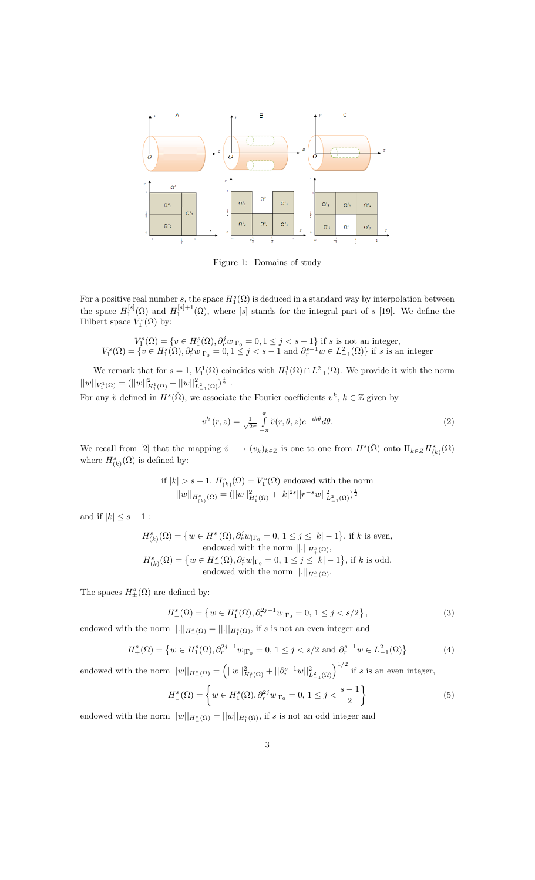

Figure 1: Domains of study

For a positive real number s, the space  $H_1^s(\Omega)$  is deduced in a standard way by interpolation between 1 the space  $H_1^{[s]}(\Omega)$  and  $H_1^{[s]+1}(\Omega)$ , where [s] stands for the integral part of s [19]. We define the Hilbert space  $V_1^s(\Omega)$  by:

$$
V_1^s(\Omega) = \{v \in H_1^s(\Omega), \partial_r^j w_{|\Gamma_0} = 0, 1 \leq j < s-1\} \text{ if } s \text{ is not an integer},
$$
  

$$
V_1^s(\Omega) = \{v \in H_1^s(\Omega), \partial_r^j w_{|\Gamma_0} = 0, 1 \leq j < s-1 \text{ and } \partial_r^{s-1} w \in L_{-1}^2(\Omega)\} \text{ if } s \text{ is an integer},
$$

We remark that for  $s = 1$ ,  $V_1^1(\Omega)$  coincides with  $H_1^1(\Omega) \cap L_{-1}^2(\Omega)$ . We provide it with the norm  $||w||_{V_1^1(\Omega)} = (||w||^2_{H_1^1(\Omega)} + ||w||^2_{L_{-1}^2(\Omega)})^{\frac{1}{2}}$ .

For any  $\check{v}$  defined in  $H^s(\check{\Omega})$ , we associate the Fourier coefficients  $v^k, k \in \mathbb{Z}$  given by

$$
v^{k}(r,z) = \frac{1}{\sqrt{2\pi}} \int_{-\pi}^{\pi} \breve{v}(r,\theta,z)e^{-ik\theta}d\theta.
$$
 (2)

We recall from [2] that the mapping  $\check{\nu} \longmapsto (v_k)_{k \in \mathbb{Z}}$  is one to one from  $H^s(\check{\Omega})$  onto  $\Pi_{k \in \mathbb{Z}} H^s_{(k)}(\Omega)$ where  $H^s_{(k)}(\Omega)$  is defined by:

if 
$$
|k| > s - 1
$$
,  $H_{(k)}^s(\Omega) = V_1^s(\Omega)$  endowed with the norm  

$$
||w||_{H_{(k)}^s(\Omega)} = (||w||_{H_1^s(\Omega)}^2 + |k|^{2s}||r^{-s}w||_{L_{-1}^2(\Omega)}^2)^{\frac{1}{2}}
$$

and if  $|k| \leq s - 1$ :

$$
\begin{aligned} H^s_{(k)}(\Omega) &= \left\{ w \in H^s_+(\Omega), \partial_r^j w_{|\Gamma_0} = 0,\, 1 \leq j \leq |k|-1 \right\} \text{, if $k$ is even,}\\ & \text{endowed with the norm } ||.||_{H^s_+(\Omega)},\\ H^s_{(k)}(\Omega) &= \left\{ w \in H^s_-(\Omega), \partial_r^j w|_{\Gamma_0} = 0,\, 1 \leq j \leq |k|-1 \right\} \text{, if $k$ is odd,}\\ & \text{endowed with the norm } ||.||_{H^s_-(\Omega)}, \end{aligned}
$$

The spaces  $H^s_{\pm}(\Omega)$  are defined by:

$$
H_+^s(\Omega) = \left\{ w \in H_1^s(\Omega), \partial_r^{2j-1} w_{|\Gamma_0} = 0, 1 \le j < s/2 \right\},\tag{3}
$$

endowed with the norm  $||.||_{H_+^s(\Omega)} = ||.||_{H_1^s(\Omega)}$ , if s is not an even integer and

$$
H_+^s(\Omega) = \left\{ w \in H_1^s(\Omega), \partial_r^{2j-1} w_{|\Gamma_0} = 0, 1 \le j < s/2 \text{ and } \partial_r^{s-1} w \in L_{-1}^2(\Omega) \right\} \tag{4}
$$

endowed with the norm  $||w||_{H_+^s(\Omega)} = (||w||_{H_1^s(\Omega)}^2 + ||\partial_r^{s-1}w||_{L_{-1}^2(\Omega)}^2)^{1/2}$  if s is an even integer,

$$
H_{-}^{s}(\Omega) = \left\{ w \in H_{1}^{s}(\Omega), \partial_{r}^{2j} w_{|\Gamma_{0}} = 0, 1 \le j < \frac{s-1}{2} \right\}
$$
 (5)

endowed with the norm  $||w||_{H^s_{-}(\Omega)} = ||w||_{H^s_1(\Omega)}$ , if s is not an odd integer and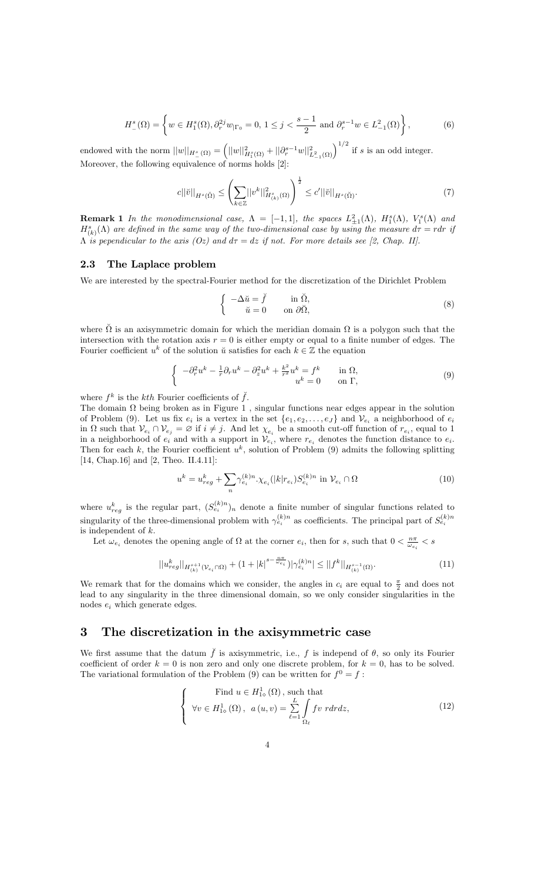$$
H_{-}^{s}(\Omega) = \left\{ w \in H_{1}^{s}(\Omega), \partial_{r}^{2j} w_{|\Gamma_{0}} = 0, 1 \le j < \frac{s-1}{2} \text{ and } \partial_{r}^{s-1} w \in L_{-1}^{2}(\Omega) \right\},\tag{6}
$$

endowed with the norm  $||w||_{H^s_-(\Omega)} = (||w||^2_{H^s_1(\Omega)} + ||\partial_r^{s-1}w||^2_{L^2_{-1}(\Omega)})^{1/2}$  if s is an odd integer. Moreover, the following equivalence of norms holds [2]:

$$
c||\breve{v}||_{H^{s}(\breve{\Omega})} \leq \left(\sum_{k \in \mathbb{Z}} ||v^{k}||_{H^{s}_{(k)}(\Omega)}^{2}\right)^{\frac{1}{2}} \leq c'||\breve{v}||_{H^{s}(\breve{\Omega})}.
$$
\n(7)

**Remark 1** In the monodimensional case,  $\Lambda = [-1, 1]$ , the spaces  $L^2_{\pm 1}(\Lambda)$ ,  $H_1^s(\Lambda)$ ,  $V_1^s(\Lambda)$  and  $H_{(k)}^{s}(\Lambda)$  are defined in the same way of the two-dimensional case by using the measure  $d\tau = rdr$  if  $\Lambda$  is pependicular to the axis (Oz) and  $d\tau = dz$  if not. For more details see [2, Chap. II].

### 2.3 The Laplace problem

We are interested by the spectral-Fourier method for the discretization of the Dirichlet Problem

$$
\begin{cases}\n-\Delta \check{u} = \check{f} & \text{in } \check{\Omega}, \\
\check{u} = 0 & \text{on } \partial \check{\Omega},\n\end{cases}
$$
\n(8)

where  $\check{\Omega}$  is an axisymmetric domain for which the meridian domain  $\Omega$  is a polygon such that the intersection with the rotation axis  $r = 0$  is either empty or equal to a finite number of edges. The Fourier coefficient  $u^k$  of the solution  $\check{u}$  satisfies for each  $k \in \mathbb{Z}$  the equation

$$
\begin{cases}\n-\partial_r^2 u^k - \frac{1}{r}\partial_r u^k - \partial_z^2 u^k + \frac{k^2}{r^2} u^k = f^k & \text{in } \Omega, \\
u^k = 0 & \text{on } \Gamma,\n\end{cases}
$$
\n(9)

where  $f^k$  is the kth Fourier coefficients of  $\check{f}$ .

The domain  $\Omega$  being broken as in Figure 1, singular functions near edges appear in the solution of Problem (9). Let us fix  $e_i$  is a vertex in the set  $\{e_1, e_2, \ldots, e_J\}$  and  $\mathcal{V}_{e_i}$  a neighborhood of  $e_i$ in  $\Omega$  such that  $\mathcal{V}_{e_i} \cap \mathcal{V}_{e_j} = \emptyset$  if  $i \neq j$ . And let  $\chi_{e_i}$  be a smooth cut-off function of  $r_{e_i}$ , equal to 1 in a neighborhood of  $e_i$  and with a support in  $V_{e_i}$ , where  $r_{e_i}$  denotes the function distance to  $e_i$ . Then for each k, the Fourier coefficient  $u^k$ , solution of Problem (9) admits the following splitting [14, Chap.16] and [2, Theo. II.4.11]:

$$
u^{k} = u_{reg}^{k} + \sum_{n} \gamma_{e_{i}}^{(k)n} \cdot \chi_{e_{i}}(|k|r_{e_{i}}) S_{e_{i}}^{(k)n} \text{ in } \mathcal{V}_{e_{i}} \cap \Omega
$$
 (10)

where  $u_{reg}^k$  is the regular part,  $(S_{e_i}^{(k)n})_n$  denote a finite number of singular functions related to singularity of the three-dimensional problem with  $\gamma_{e_i}^{(k)n}$  as coefficients. The principal part of  $S_{e_i}^{(k)n}$ is independent of k.

Let  $\omega_{e_i}$  denotes the opening angle of  $\Omega$  at the corner  $e_i$ , then for s, such that  $0 < \frac{n\pi}{\omega_{e_i}} < s$ 

$$
||u_{reg}^{k}||_{H_{(k)}^{s+1}(\mathcal{V}_{e_i}\cap\Omega)} + (1+|k|^{s-\frac{n\pi}{\omega_{e_i}}})|\gamma_{e_i}^{(k)n}| \leq ||f^k||_{H_{(k)}^{s-1}(\Omega)}.
$$
\n(11)

We remark that for the domains which we consider, the angles in  $c_i$  are equal to  $\frac{\pi}{2}$  and does not lead to any singularity in the three dimensional domain, so we only consider singularities in the nodes  $e_i$  which generate edges.

## 3 The discretization in the axisymmetric case

We first assume that the datum  $\check{f}$  is axisymmetric, i.e., f is independ of  $\theta$ , so only its Fourier coefficient of order  $k = 0$  is non zero and only one discrete problem, for  $k = 0$ , has to be solved. The variational formulation of the Problem (9) can be written for  $f^0 = f$ :

$$
\begin{cases}\n\text{Find } u \in H_{1}^{1}(\Omega), \text{ such that} \\
\forall v \in H_{1}^{1}(\Omega), \ a(u, v) = \sum_{\ell=1}^{L} \int_{\Omega_{\ell}} f v \ r dr dz,\n\end{cases}
$$
\n(12)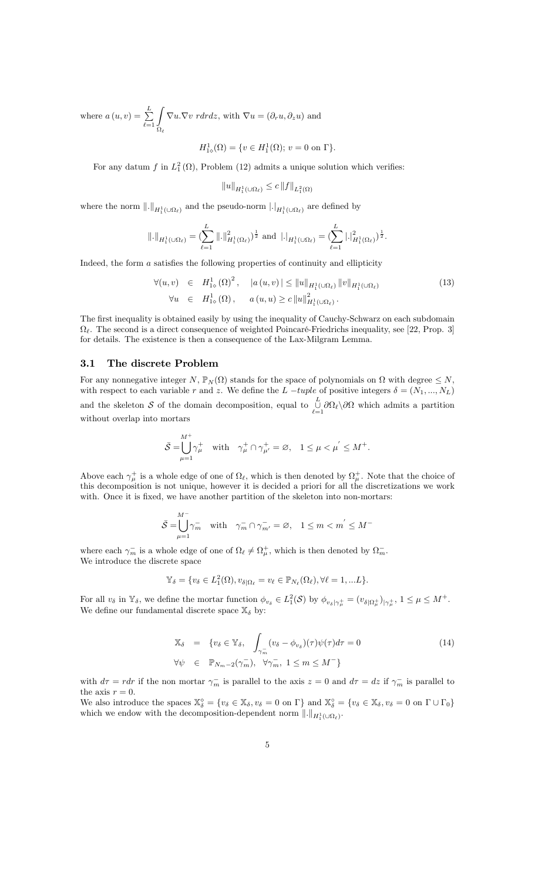where  $a(u, v) = \sum_{n=1}^{L}$  $_{\ell=1}$ Z  $\Omega_\ell$  $\nabla u.\nabla v$  rdrdz, with  $\nabla u = (\partial_r u, \partial_z u)$  and

$$
H_{1\diamond}^1(\Omega) = \{ v \in H_1^1(\Omega); \, v = 0 \text{ on } \Gamma \}.
$$

For any datum f in  $L_1^2(\Omega)$ , Problem (12) admits a unique solution which verifies:

$$
||u||_{H_1^1(\cup\Omega_\ell)} \le c ||f||_{L_1^2(\Omega)}
$$

where the norm  $\|.\|_{H_1^1(\cup\Omega_\ell)}$  and the pseudo-norm  $|.|_{H_1^1(\cup\Omega_\ell)}$  are defined by

$$
\|\phi\|_{H_1^1(\cup\Omega_\ell)} = (\sum_{\ell=1}^L \|\phi\|_{H_1^1(\Omega_\ell)}^2)^{\frac{1}{2}} \text{ and } \|\phi\|_{H_1^1(\cup\Omega_\ell)} = (\sum_{\ell=1}^L \|\phi\|_{H_1^1(\Omega_\ell)}^2)^{\frac{1}{2}}.
$$

Indeed, the form  $a$  satisfies the following properties of continuity and ellipticity

$$
\forall (u, v) \in H_{1\diamond}^{1}(\Omega)^{2}, \quad |a(u, v)| \leq ||u||_{H_{1}^{1}(\cup\Omega_{\ell})} ||v||_{H_{1}^{1}(\cup\Omega_{\ell})}
$$
\n
$$
\forall u \in H_{1\diamond}^{1}(\Omega), \quad a(u, u) \geq c ||u||_{H_{1}^{1}(\cup\Omega_{\ell})}^{2}.
$$
\n(13)

The first inequality is obtained easily by using the inequality of Cauchy-Schwarz on each subdomain  $\Omega_{\ell}$ . The second is a direct consequence of weighted Poincaré-Friedrichs inequality, see [22, Prop. 3] for details. The existence is then a consequence of the Lax-Milgram Lemma.

### 3.1 The discrete Problem

For any nonnegative integer  $N$ ,  $\mathbb{P}_N(\Omega)$  stands for the space of polynomials on  $\Omega$  with degree  $\leq N$ , with respect to each variable r and z. We define the L -tuple of positive integers  $\delta = (N_1, ..., N_L)$ and the skeleton S of the domain decomposition, equal to  $\bigcup_{\ell=1}^{L}$  $\bigcup_{\ell=1} \partial \Omega_{\ell} \setminus \partial \Omega$  which admits a partition without overlap into mortars

$$
\bar{\mathcal{S}} = \bigcup_{\mu=1}^{M^+} \gamma^+_{\mu} \quad \text{with} \quad \gamma^+_{\mu} \cap \gamma^+_{\mu'} = \varnothing, \quad 1 \le \mu < \mu' \le M^+.
$$

Above each  $\gamma^+_\mu$  is a whole edge of one of  $\Omega_\ell$ , which is then denoted by  $\Omega^+_\mu$ . Note that the choice of this decomposition is not unique, however it is decided a priori for all the discretizations we work with. Once it is fixed, we have another partition of the skeleton into non-mortars:

$$
\bar{\mathcal{S}} = \bigcup_{\mu=1}^{M^-} \gamma_m^- \quad \text{with} \quad \gamma_m^- \cap \gamma_{m'}^- = \varnothing, \quad 1 \le m < m^{'} \le M^-
$$

where each  $\gamma_m^-$  is a whole edge of one of  $\Omega_\ell \neq \Omega_\mu^+$ , which is then denoted by  $\Omega_m^-$ . We introduce the discrete space

$$
\mathbb{Y}_{\delta} = \{ v_{\delta} \in L_1^2(\Omega), v_{\delta|\Omega_{\ell}} = v_{\ell} \in \mathbb{P}_{N_{\ell}}(\Omega_{\ell}), \forall \ell = 1, ... L \}.
$$

For all  $v_{\delta}$  in  $\mathbb{Y}_{\delta}$ , we define the mortar function  $\phi_{v_{\delta}} \in L_1^2(\mathcal{S})$  by  $\phi_{v_{\delta}|\gamma^{\pm}_{\mu}} = (v_{\delta|\Omega^{\pm}_{\mu}})_{|\gamma^{\pm}_{\mu}}, 1 \leq \mu \leq M^{\pm}$ . We define our fundamental discrete space  $\mathbb{X}_{\delta}$  by:

$$
\mathbb{X}_{\delta} = \{ v_{\delta} \in \mathbb{Y}_{\delta}, \int_{\gamma_m^{-}} (v_{\delta} - \phi_{v_{\delta}})(\tau) \psi(\tau) d\tau = 0
$$
\n
$$
\forall \psi \in \mathbb{P}_{N_m - 2}(\gamma_m^{-}), \forall \gamma_m^{-}, 1 \le m \le M^{-} \}
$$
\n(14)

with  $d\tau = r dr$  if the non mortar  $\gamma_m^-$  is parallel to the axis  $z = 0$  and  $d\tau = dz$  if  $\gamma_m^-$  is parallel to the axis  $r = 0$ .

We also introduce the spaces  $\mathbb{X}_{\delta}^{\diamond} = \{v_{\delta} \in \mathbb{X}_{\delta}, v_{\delta} = 0 \text{ on } \Gamma\}$  and  $\mathbb{X}_{\delta}^{\diamond} = \{v_{\delta} \in \mathbb{X}_{\delta}, v_{\delta} = 0 \text{ on } \Gamma \cup \Gamma_0\}$ which we endow with the decomposition-dependent norm  $\|.\|_{H_1^1(\cup\Omega_\ell)}$ .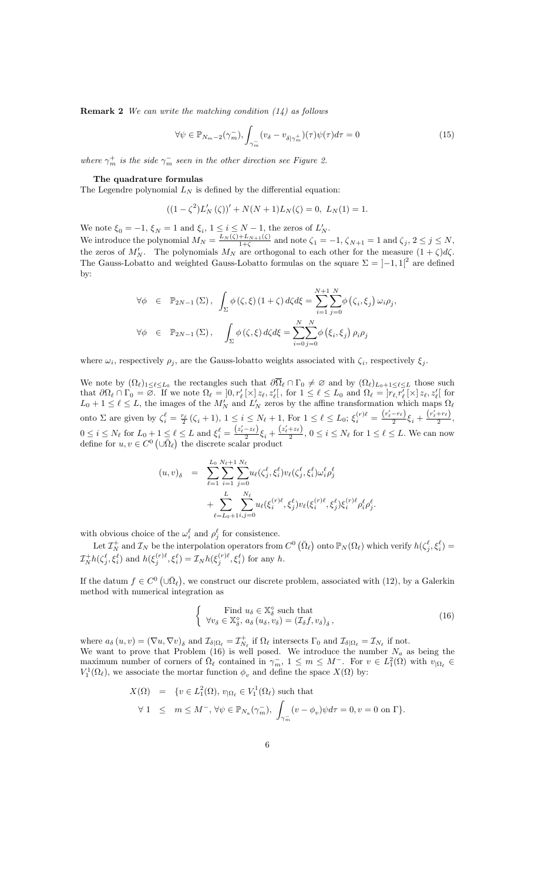**Remark 2** We can write the matching condition  $(14)$  as follows

$$
\forall \psi \in \mathbb{P}_{N_m-2}(\gamma_m^-), \int_{\gamma_m^-} (v_\delta - v_{\delta|\gamma_m^+})(\tau) \psi(\tau) d\tau = 0 \tag{15}
$$

where  $\gamma_m^+$  is the side  $\gamma_m^-$  seen in the other direction see Figure 2.

#### The quadrature formulas

The Legendre polynomial  $L_N$  is defined by the differential equation:

$$
((1 - \zeta^2)L'_N(\zeta))' + N(N+1)L_N(\zeta) = 0, L_N(1) = 1.
$$

We note  $\xi_0 = -1$ ,  $\xi_N = 1$  and  $\xi_i$ ,  $1 \leq i \leq N-1$ , the zeros of  $L'_N$ . We introduce the polynomial  $M_N = \frac{L_N(\zeta) + L_{N+1}(\zeta)}{1+\zeta}$  and note  $\zeta_1 = -1$ ,  $\zeta_{N+1} = 1$  and  $\zeta_j$ ,  $2 \le j \le N$ , the zeros of  $M'_N$ . The polynomials  $M_N$  are orthogonal to each other for the measure  $(1+\zeta)d\zeta$ . The Gauss-Lobatto and weighted Gauss-Lobatto formulas on the square  $\Sigma = [-1, 1]^2$  are defined by:

$$
\forall \phi \in \mathbb{P}_{2N-1}(\Sigma), \int_{\Sigma} \phi(\zeta, \xi) (1+\zeta) d\zeta d\xi = \sum_{i=1}^{N+1} \sum_{j=0}^{N} \phi(\zeta_i, \xi_j) \omega_i \rho_j,
$$
  

$$
\forall \phi \in \mathbb{P}_{2N-1}(\Sigma), \int_{\Sigma} \phi(\zeta, \xi) d\zeta d\xi = \sum_{i=0}^{N} \sum_{j=0}^{N} \phi(\xi_i, \xi_j) \rho_i \rho_j
$$

where  $\omega_i$ , respectively  $\rho_j$ , are the Gauss-lobatto weights associated with  $\zeta_i$ , respectively  $\xi_j$ .

We note by  $(\Omega_\ell)_{1 \leq \ell \leq L_0}$  the rectangles such that  $\partial \Omega_\ell \cap \Gamma_0 \neq \emptyset$  and by  $(\Omega_\ell)_{L_0+1 \leq \ell \leq L}$  those such that  $\partial \Omega_{\ell} \cap \Gamma_0 = \emptyset$ . If we note  $\Omega_{\ell} = \left] 0, r'_{\ell} \right[ \times \left] z_{\ell}, z'_{\ell} \right[$ , for  $1 \leq \ell \leq L_0$  and  $\Omega_{\ell} = \left] r_{\ell}, r'_{\ell} \right[ \times \left] z_{\ell}, z'_{\ell} \right[$  for  $L_0 + 1 \leq \ell \leq L$ , the images of the  $M'_N$  and  $L'_N$  zeros by the affine transformation which maps  $\Omega_{\ell}$ onto  $\Sigma$  are given by  $\zeta_i^{\ell} = \frac{r_{\ell}}{2} (\zeta_i + 1), 1 \leq i \leq N_{\ell} + 1$ , For  $1 \leq \ell \leq L_0$ ;  $\xi_i^{(r)\ell} = \frac{(r_{\ell} - r_{\ell})}{2} \xi_i + \frac{(r_{\ell} + r_{\ell})}{2}$  $\frac{1+\ell}{2},$  $0 \leq i \leq N_{\ell}$  for  $L_0 + 1 \leq \ell \leq L$  and  $\xi_i^{\ell} = \frac{(z_{\ell} - z_{\ell})}{2} \xi_i + \frac{(z_{\ell} + z_{\ell})}{2}$  $\frac{1}{2}$ ,  $0 \le i \le N_{\ell}$  for  $1 \le \ell \le L$ . We can now define for  $u, v \in C^0 \left( \cup \overline{\Omega}_{\ell} \right)$  the discrete scalar product

$$
(u, v)_{\delta} = \sum_{\ell=1}^{L_0} \sum_{i=1}^{N_{\ell}+1} \sum_{j=0}^{N_{\ell}} u_{\ell}(\zeta_j^{\ell}, \xi_i^{\ell}) v_{\ell}(\zeta_j^{\ell}, \xi_i^{\ell}) \omega_i^{\ell} \rho_j^{\ell} + \sum_{\ell=L_0+1}^{L} \sum_{i,j=0}^{N_{\ell}} u_{\ell}(\xi_i^{(r)\ell}, \xi_j^{\ell}) v_{\ell}(\xi_i^{(r)\ell}, \xi_j^{\ell}) \xi_i^{(r)\ell} \rho_i^{\ell} \rho_j^{\ell}.
$$

with obvious choice of the  $\omega_i^{\ell}$  and  $\rho_j^{\ell}$  for consistence.

Let  $\mathcal{I}_N^+$  and  $\mathcal{I}_N$  be the interpolation operators from  $C^0(\bar{\Omega}_\ell)$  onto  $\mathbb{P}_N(\Omega_\ell)$  which verify  $h(\zeta_j^\ell, \xi_i^\ell) =$  $\mathcal{I}_N^+ h(\zeta_j^{\ell}, \xi_i^{\ell})$  and  $h(\xi_j^{(r)\ell}, \xi_i^{\ell}) = \mathcal{I}_N h(\xi_j^{(r)\ell}, \xi_i^{\ell})$  for any h.

If the datum  $f \in C^0(\cup \overline{\Omega}_{\ell})$ , we construct our discrete problem, associated with (12), by a Galerkin method with numerical integration as

$$
\begin{cases}\n\text{Find } u_{\delta} \in \mathbb{X}_{\delta}^{\circ} \text{ such that} \\
\forall v_{\delta} \in \mathbb{X}_{\delta}^{\circ}, a_{\delta} (u_{\delta}, v_{\delta}) = (\mathcal{I}_{\delta} f, v_{\delta})_{\delta}\n\end{cases}
$$
\n(16)

where  $a_{\delta}(u, v) = (\nabla u, \nabla v)_{\delta}$  and  $\mathcal{I}_{\delta|\Omega_{\ell}} = \mathcal{I}_{N_{\ell}}^+$  if  $\Omega_{\ell}$  intersects  $\Gamma_0$  and  $\mathcal{I}_{\delta|\Omega_{\ell}} = \mathcal{I}_{N_{\ell}}$  if not. We want to prove that Problem (16) is well posed. We introduce the number  $N_a$  as being the maximum number of corners of  $\overline{\Omega}_{\ell}$  contained in  $\gamma_m^-, 1 \leq m \leq M^-$ . For  $v \in L_1^2(\Omega)$  with  $v_{|\Omega_{\ell}|} \in$  $V_1^1(\Omega_\ell)$ , we associate the mortar function  $\phi_v$  and define the space  $X(\Omega)$  by:

$$
X(\Omega) = \{ v \in L_1^2(\Omega), v_{|\Omega_\ell} \in V_1^1(\Omega_\ell) \text{ such that}
$$
  

$$
\forall 1 \leq m \leq M^-, \forall \psi \in \mathbb{P}_{N_a}(\gamma_m^-), \int_{\gamma_m^-} (v - \phi_v) \psi d\tau = 0, v = 0 \text{ on } \Gamma \}.
$$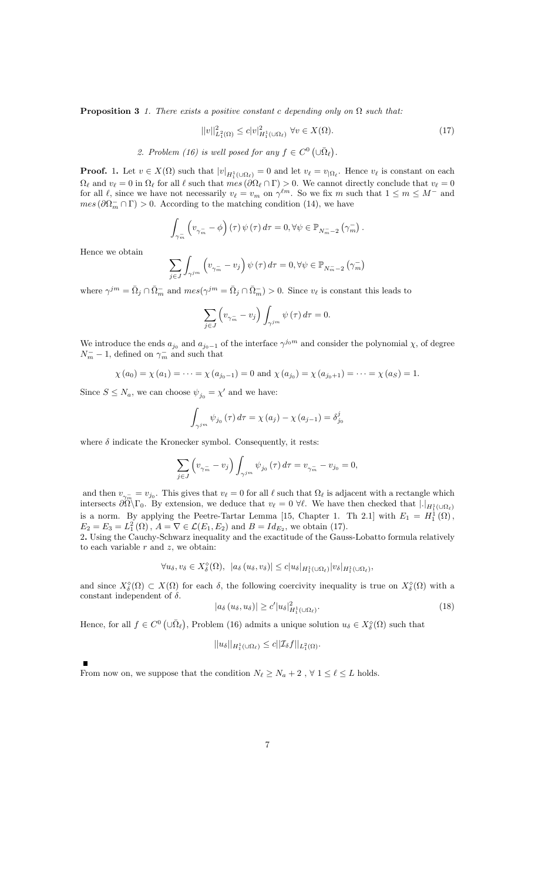**Proposition 3** 1. There exists a positive constant c depending only on  $\Omega$  such that:

$$
||v||_{L_1^2(\Omega)}^2 \le c|v|_{H_1^1(\cup\Omega_\ell)}^2 \ \forall v \in X(\Omega). \tag{17}
$$

2. Problem (16) is well posed for any  $f \in C^0(\cup \bar{\Omega}_\ell)$ .

**Proof.** 1. Let  $v \in X(\Omega)$  such that  $|v|_{H_1^1(\Omega)} = 0$  and let  $v_\ell = v_{|\Omega_\ell|}$ . Hence  $v_\ell$  is constant on each  $\Omega_{\ell}$  and  $v_{\ell} = 0$  in  $\Omega_{\ell}$  for all  $\ell$  such that  $mes(\partial \Omega_{\ell} \cap \Gamma) > 0$ . We cannot directly conclude that  $v_{\ell} = 0$ for all  $\ell$ , since we have not necessarily  $v_{\ell} = v_m$  on  $\gamma^{\ell m}$ . So we fix m such that  $1 \leq m \leq M^-$  and  $mes\left(\partial\Omega_{m}^{-}\cap\Gamma\right) > 0.$  According to the matching condition (14), we have

$$
\int_{\gamma_m^-} \left( v_{\gamma_m^-} - \phi \right) (\tau) \psi (\tau) d\tau = 0, \forall \psi \in \mathbb{P}_{N_m^- - 2} \left( \gamma_m^- \right).
$$

Hence we obtain

$$
\sum_{j\in J}\int_{\gamma^{jm}}\left(v_{\gamma_{m}^{-}}-v_{j}\right)\psi\left(\tau\right)d\tau=0,\forall\psi\in\mathbb{P}_{N_{m}^{-}-2}\left(\gamma_{m}^{-}\right)
$$

where  $\gamma^{jm} = \bar{\Omega}_j \cap \bar{\Omega}_m^-$  and  $mes(\gamma^{jm} = \bar{\Omega}_j \cap \bar{\Omega}_m^-) > 0$ . Since  $v_{\ell}$  is constant this leads to

$$
\sum_{j\in J}\left(v_{\gamma_m^-}-v_j\right)\int_{\gamma^{jm}}\psi\left(\tau\right)d\tau=0.
$$

We introduce the ends  $a_{j_0}$  and  $a_{j_0-1}$  of the interface  $\gamma^{j_0m}$  and consider the polynomial  $\chi$ , of degree  $N_m^- - 1$ , defined on  $\gamma_m^-$  and such that

$$
\chi(a_0) = \chi(a_1) = \cdots = \chi(a_{j_0-1}) = 0
$$
 and  $\chi(a_{j_0}) = \chi(a_{j_0+1}) = \cdots = \chi(a_S) = 1$ .

Since  $S \leq N_a$ , we can choose  $\psi_{j_0} = \chi'$  and we have:

$$
\int_{\gamma^{jm}} \psi_{j_0}(\tau) d\tau = \chi(a_j) - \chi(a_{j-1}) = \delta_{j_0}^j
$$

where  $\delta$  indicate the Kronecker symbol. Consequently, it rests:

$$
\sum_{j \in J} \left( v_{\gamma_m^-} - v_j \right) \int_{\gamma^{jm}} \psi_{j_0} (\tau) d\tau = v_{\gamma_m^-} - v_{j_0} = 0,
$$

and then  $v_{\gamma}$ intersects  $\partial\Omega\setminus\Gamma_0$ . By extension, we deduce that  $v_\ell = 0$   $\forall \ell$ . We have then checked that  $|.|_{H_1^1(\cup\Omega_\ell)}$  $= v_{j_0}$ . This gives that  $v_\ell = 0$  for all  $\ell$  such that  $\Omega_\ell$  is adjacent with a rectangle which is a norm. By applying the Peetre-Tartar Lemma [15, Chapter 1. Th 2.1] with  $E_1 = H_1^1(\Omega)$ ,  $E_2 = E_3 = L_1^2(\Omega)$ ,  $A = \nabla \in \mathcal{L}(E_1, E_2)$  and  $B = Id_{E_2}$ , we obtain (17).

2. Using the Cauchy-Schwarz inequality and the exactitude of the Gauss-Lobatto formula relatively to each variable  $r$  and  $z$ , we obtain:

$$
\forall u_{\delta}, v_{\delta} \in X_{\delta}^{\diamond}(\Omega), \ \ |a_{\delta}(u_{\delta}, v_{\delta})| \leq c|u_{\delta}|_{H_1^1(\cup\Omega_{\ell})}|v_{\delta}|_{H_1^1(\cup\Omega_{\ell})},
$$

and since  $X_{\delta}^{\diamond}(\Omega) \subset X(\Omega)$  for each  $\delta$ , the following coercivity inequality is true on  $X_{\delta}^{\diamond}(\Omega)$  with a constant independent of  $\delta$ .

$$
|a_{\delta}(u_{\delta}, u_{\delta})| \ge c'|u_{\delta}|_{H_1^1(\cup \Omega_\ell)}^2.
$$
\n(18)

Hence, for all  $f \in C^0(\cup \overline{\Omega}_{\ell})$ , Problem (16) admits a unique solution  $u_{\delta} \in X_{\delta}^{\circ}(\Omega)$  such that

$$
||u_{\delta}||_{H_1^1(\cup\Omega_{\ell})}\leq c||\mathcal{I}_{\delta}f||_{L_1^2(\Omega)}.
$$

From now on, we suppose that the condition  $N_\ell \geq N_a + 2$  ,  $\forall$   $1 \leq \ell \leq L$  holds.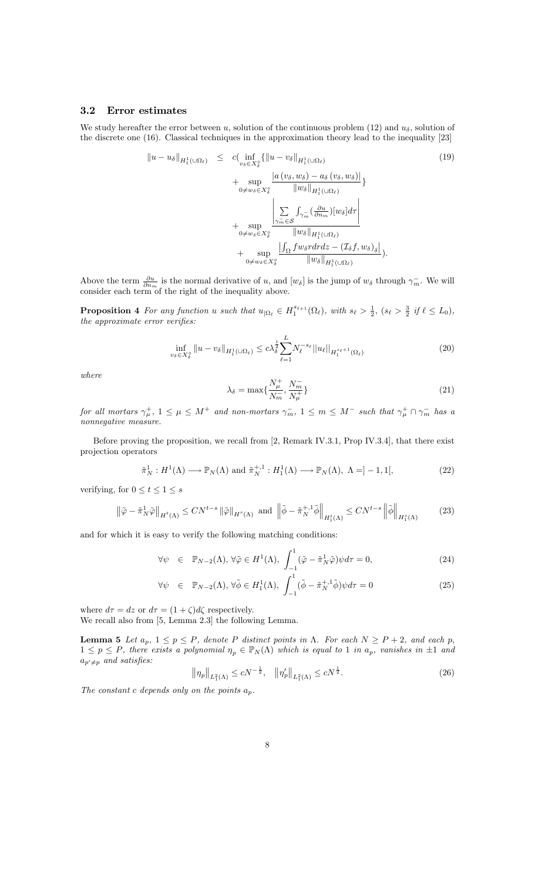### 3.2 Error estimates

We study hereafter the error between u, solution of the continuous problem (12) and  $u_{\delta}$ , solution of the discrete one (16). Classical techniques in the approximation theory lead to the inequality [23]

$$
\|u - u_{\delta}\|_{H_1^1(\cup\Omega_{\ell})} \leq c \Big( \inf_{v_{\delta} \in X_{\delta}^s} \{ \|u - v_{\delta}\|_{H_1^1(\cup\Omega_{\ell})} \times (19) \times (19) \Big) + \sup_{0 \neq w_{\delta} \in X_{\delta}^s} \frac{|a(v_{\delta}, w_{\delta}) - a_{\delta}(v_{\delta}, w_{\delta})|}{\|w_{\delta}\|_{H_1^1(\cup\Omega_{\ell})}} \Big\} + \sup_{\substack{\mathcal{S} \in \mathcal{S} \\ 0 \neq w_{\delta} \in X_{\delta}^s}} \frac{\left| \sum_{\gamma_m \in \mathcal{S} \atop |\gamma_m \in \mathcal{S}} \int_{\gamma_m} \left( \frac{\partial u}{\partial n_m} \right) [w_{\delta}] d\tau \right|}{\|w_{\delta}\|_{H_1^1(\cup\Omega_{\ell})}} \Big| + \sup_{0 \neq w_{\delta} \in X_{\delta}^s} \frac{\left| \int_{\Omega} f w_{\delta} r dr dz - \left( \mathcal{I}_{\delta} f, w_{\delta} \right)_{\delta} \right|}{\|w_{\delta}\|_{H_1^1(\cup\Omega_{\ell})}} \Big).
$$

Above the term  $\frac{\partial u}{\partial n_m}$  is the normal derivative of u, and  $[w_\delta]$  is the jump of  $w_\delta$  through  $\gamma_m^-$ . We will consider each term of the right of the inequality above.

**Proposition 4** For any function u such that  $u_{|\Omega_\ell} \in H_1^{s_{\ell+1}}(\Omega_\ell)$ , with  $s_\ell > \frac{1}{2}$ ,  $(s_\ell > \frac{3}{2}$  if  $\ell \leq L_0$ ), the approximate error verifies:  $% \alpha$ 

$$
\inf_{v_{\delta} \in X_{\delta}^{\circ}} \|u - v_{\delta}\|_{H_1^1(\cup \Omega_\ell)} \le c \lambda_{\delta}^{\frac{1}{2}} \sum_{\ell=1}^L N_{\ell}^{-s_{\ell}} \|u_{\ell}\|_{H_1^{s_{\ell}+1}(\Omega_\ell)} \tag{20}
$$

where

$$
\lambda_{\delta} = \max\{\frac{N_{\mu}^{+}}{N_m^{-}}, \frac{N_m^{-}}{N_{\mu}^{+}}\}\
$$
\n(21)

for all mortars  $\gamma^+_\mu$ ,  $1 \leq \mu \leq M^+$  and non-mortars  $\gamma^-_m$ ,  $1 \leq m \leq M^-$  such that  $\gamma^+_\mu \cap \gamma^-_m$  has a nonnegative measure.

Before proving the proposition, we recall from [2, Remark IV.3.1, Prop IV.3.4], that there exist projection operators

$$
\tilde{\pi}_N^1 : H^1(\Lambda) \longrightarrow \mathbb{P}_N(\Lambda) \text{ and } \tilde{\pi}_N^{+,1} : H_1^1(\Lambda) \longrightarrow \mathbb{P}_N(\Lambda), \Lambda = ]-1,1[,
$$
\n(22)

verifying, for  $0 \le t \le 1 \le s$ 

$$
\left\|\tilde{\varphi} - \tilde{\pi}_N^1 \tilde{\varphi}\right\|_{H^t(\Lambda)} \le C N^{t-s} \left\|\tilde{\varphi}\right\|_{H^s(\Lambda)} \text{ and } \left\|\tilde{\phi} - \tilde{\pi}_N^{+,1} \tilde{\phi}\right\|_{H_1^t(\Lambda)} \le C N^{t-s} \left\|\tilde{\phi}\right\|_{H_1^s(\Lambda)}\tag{23}
$$

and for which it is easy to verify the following matching conditions:

$$
\forall \psi \in \mathbb{P}_{N-2}(\Lambda), \forall \tilde{\varphi} \in H^{1}(\Lambda), \int_{-1}^{1} (\tilde{\varphi} - \tilde{\pi}_{N}^{1} \tilde{\varphi}) \psi d\tau = 0, \tag{24}
$$

$$
\forall \psi \in \mathbb{P}_{N-2}(\Lambda), \forall \tilde{\phi} \in H_1^1(\Lambda), \int_{-1}^1 (\tilde{\phi} - \tilde{\pi}_N^{+,1} \tilde{\phi}) \psi d\tau = 0 \tag{25}
$$

where  $d\tau = dz$  or  $d\tau = (1 + \zeta)d\zeta$  respectively. We recall also from [5, Lemma 2.3] the following Lemma.

**Lemma 5** Let  $a_p$ ,  $1 \leq p \leq P$ , denote P distinct points in  $\Lambda$ . For each  $N \geq P+2$ , and each p,  $1 \leq p \leq P$ , there exists a polynomial  $\eta_p \in \mathbb{P}_N(\Lambda)$  which is equal to 1 in  $a_p$ , vanishes in  $\pm 1$  and  $a_{p' \neq p}$  and satisfies:

$$
\left\|\eta_p\right\|_{L_1^2(\Lambda)} \le cN^{-\frac{1}{2}}, \quad \left\|\eta_p'\right\|_{L_1^2(\Lambda)} \le cN^{\frac{1}{2}}.
$$
\n(26)

The constant c depends only on the points  $a_p$ .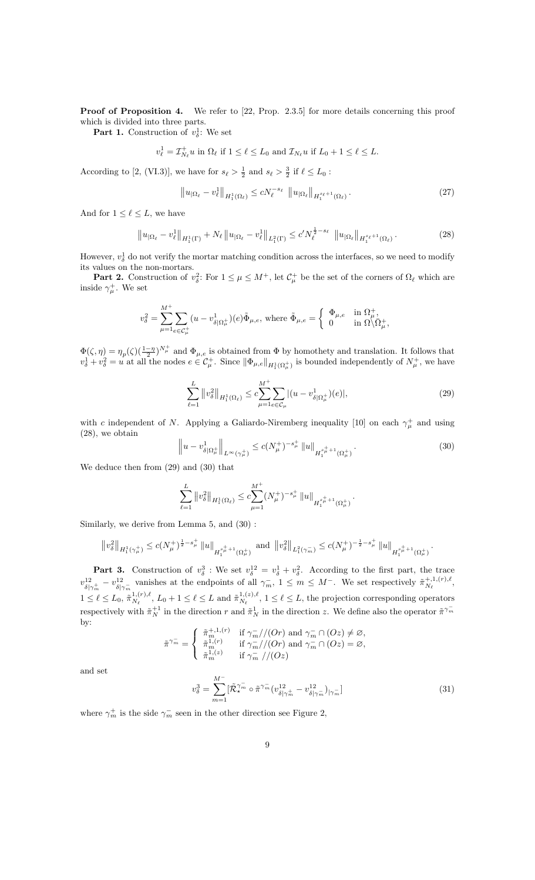Proof of Proposition 4. We refer to [22, Prop. 2.3.5] for more details concerning this proof which is divided into three parts.

**Part 1.** Construction of  $v_{\delta}^1$ : We set

$$
v_{\ell}^1 = \mathcal{I}_{N_{\ell}}^+ u \text{ in } \Omega_{\ell} \text{ if } 1 \leq \ell \leq L_0 \text{ and } \mathcal{I}_{N_{\ell}} u \text{ if } L_0 + 1 \leq \ell \leq L.
$$

According to [2, (VI.3)], we have for  $s_\ell > \frac{1}{2}$  and  $s_\ell > \frac{3}{2}$  if  $\ell \leq L_0$ :

$$
||u_{|\Omega_{\ell}} - v_{\ell}^{1}||_{H_{1}^{1}(\Omega_{\ell})} \leq cN_{\ell}^{-s_{\ell}} ||u_{|\Omega_{\ell}}||_{H_{1}^{s_{\ell}+1}(\Omega_{\ell})}.
$$
\n(27)

And for  $1 \leq \ell \leq L$ , we have

$$
\|u_{|\Omega_{\ell}} - v_{\ell}^{1}\|_{H_{1}^{1}(\Gamma)} + N_{\ell} \|u_{|\Omega_{\ell}} - v_{\ell}^{1}\|_{L_{1}^{2}(\Gamma)} \leq c' N_{\ell}^{\frac{1}{2} - s_{\ell}} \|u_{|\Omega_{\ell}}\|_{H_{1}^{s_{\ell}+1}(\Omega_{\ell})}.
$$
\n(28)

However,  $v_{\delta}^1$  do not verify the mortar matching condition across the interfaces, so we need to modify its values on the non-mortars.

**Part 2.** Construction of  $v_{\delta}^2$ : For  $1 \leq \mu \leq M^+$ , let  $\mathcal{C}_{\mu}^+$  be the set of the corners of  $\Omega_{\ell}$  which are inside  $\gamma^+_\mu$ . We set

$$
v_{\delta}^{2} = \sum_{\mu=1}^{M^{+}} \sum_{e \in \mathcal{C}_{\mu}^{+}} (u - v_{\delta|\Omega_{\mu}^{+}}^{1})(e) \tilde{\Phi}_{\mu,e}, \text{ where } \tilde{\Phi}_{\mu,e} = \begin{cases} \Phi_{\mu,e} & \text{in } \Omega_{\mu}^{+}, \\ 0 & \text{in } \Omega \setminus \overline{\Omega}_{\mu}^{+}, \end{cases}
$$

 $\Phi(\zeta,\eta) = \eta_p(\zeta) \left(\frac{1-\eta}{2}\right)^{N_\mu^+}$  and  $\Phi_{\mu,e}$  is obtained from  $\Phi$  by homothety and translation. It follows that  $v_\delta^1 + v_\delta^2 = u$  at all the nodes  $e \in C_\mu^+$ . Since  $\|\Phi_{\mu,e}\|_{H_1^1(\Omega_\mu^+)}$  is bounded independently of  $N_\mu^+$ , we have

$$
\sum_{\ell=1}^{L} \|v_{\delta}^{2}\|_{H_{1}^{1}(\Omega_{\ell})} \leq c \sum_{\mu=1}^{M^{+}} \sum_{e \in \mathcal{C}_{\mu}} |(u - v_{\delta|\Omega_{\mu}^{+}}^{1})(e)|, \tag{29}
$$

with c independent of N. Applying a Galiardo-Niremberg inequality [10] on each  $\gamma^+_\mu$  and using (28), we obtain

$$
\left\|u - v_{\delta|\Omega_{\mu}^{+}}^{1}\right\|_{L^{\infty}(\gamma_{\mu}^{+})} \leq c(N_{\mu}^{+})^{-s_{\mu}^{+}} \left\|u\right\|_{H_{1}^{s_{\mu}^{+}+1}(\Omega_{\mu}^{+})}.
$$
\n(30)

We deduce then from (29) and (30) that

$$
\sum_{\ell=1}^L \|v_{\delta}^2\|_{H_1^1(\Omega_{\ell})} \leq c \sum_{\mu=1}^{M^+} (N^+_{\mu})^{-s^+_{\mu}} \|u\|_{H_1^{s^+_{\mu}+1}(\Omega^+_{\mu})}.
$$

Similarly, we derive from Lemma 5, and (30) :

$$
\left\|v_{\delta}^{2}\right\|_{H_{1}^{1}\left(\gamma_{\mu}^{+}\right)} \leq c(N_{\mu}^{+})^{\frac{1}{2}-s_{\mu}^{+}}\left\|u\right\|_{H_{1}^{s_{\mu}^{+}+1}\left(\Omega_{\mu}^{+}\right)}\ \text{and}\ \left\|v_{\delta}^{2}\right\|_{L_{1}^{2}\left(\gamma_{m}^{-}\right)} \leq c(N_{\mu}^{+})^{-\frac{1}{2}-s_{\mu}^{+}}\left\|u\right\|_{H_{1}^{s_{\mu}^{+}+1}\left(\Omega_{\mu}^{+}\right)}.
$$

**Part 3.** Construction of  $v_{\delta}^3$ : We set  $v_{\delta}^{12} = v_{\delta}^1 + v_{\delta}^2$ . According to the first part, the trace  $v_{s}^{12}$  $rac{12}{\delta|\gamma_m^+} - v^{12}_{\delta|}$  $j_{\alpha}^{12}$  vanishes at the endpoints of all  $\gamma_m^-, 1 \leq m \leq M^-$ . We set respectively  $\tilde{\pi}_{N_\ell}^{+,1,(r),\ell}$  $\frac{N_{\ell}^{(r)},N_{\ell}}{N_{\ell}},$  $1 \leq \ell \leq L_0, \, \tilde{\pi}_{N_{\ell}}^{1,(r),\ell}$  $_{N_{\ell}}^{1,(r),\ell}$ ,  $L_0 + 1 \leq \ell \leq L$  and  $\tilde{\pi}_{N_{\ell}}^{1,(z),\ell}$  $N_{\ell}^{1,(z),\ell}$ ,  $1 \leq \ell \leq L$ , the projection corresponding operators respectively with  $\tilde{\pi}_{N}^{+1}$  in the direction r and  $\tilde{\pi}_{N}^{1}$  in the direction z. We define also the operator  $\tilde{\pi}^{\gamma_{m}^{-}}$ by:

$$
\tilde{\pi}^{\gamma_m^-} = \begin{cases}\n\tilde{\pi}_m^{+,1,(r)} & \text{if } \gamma_m^- // (Or) \text{ and } \gamma_m^- \cap (Oz) \neq \varnothing, \\
\tilde{\pi}_m^{1,(r)} & \text{if } \gamma_m^- // (Or) \text{ and } \gamma_m^- \cap (Oz) = \varnothing, \\
\tilde{\pi}_m^{1,(z)} & \text{if } \gamma_m^- // (Oz)\n\end{cases}
$$

and set

$$
v_{\delta}^{3} = \sum_{m=1}^{M^{-}} [\tilde{\mathcal{R}}_{\star}^{\gamma_{m}^{-}} \circ \tilde{\pi}^{\gamma_{m}^{-}} (v_{\delta|\gamma_{m}^{+}}^{12} - v_{\delta|\gamma_{m}^{-}}^{12})_{|\gamma_{m}^{-}}] \tag{31}
$$

where  $\gamma_m^+$  is the side  $\gamma_m^-$  seen in the other direction see Figure 2,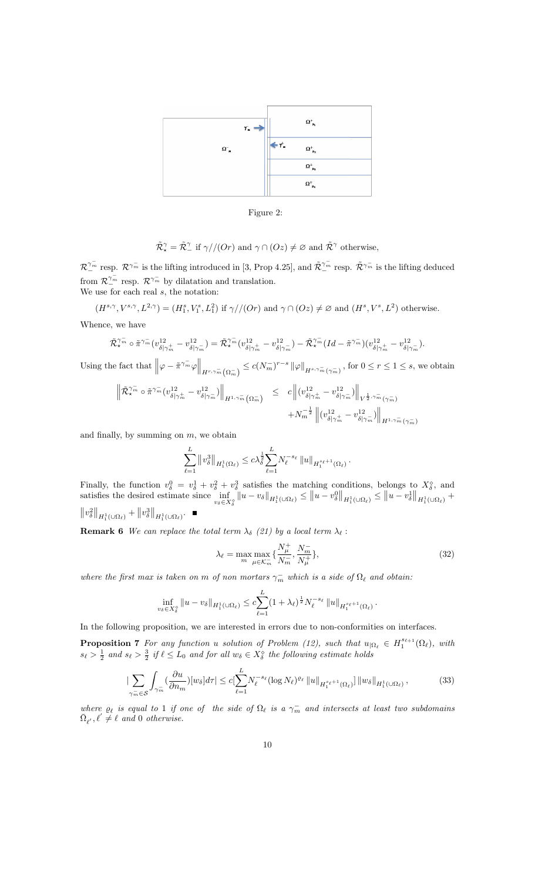



$$
\tilde{\mathcal{R}}_{\star}^{\gamma} = \tilde{\mathcal{R}}_{-}^{\gamma}
$$
 if  $\gamma$  // (Or) and  $\gamma \cap (Oz) \neq \varnothing$  and  $\tilde{\mathcal{R}}^{\gamma}$  otherwise,

 $\mathcal{R}_{-}^{\gamma_{m}^{-}}$  resp.  $\mathcal{R}^{\gamma_{m}^{-}}$  is the lifting introduced in [3, Prop 4.25], and  $\tilde{\mathcal{R}}_{-}^{\gamma_{m}^{-}}$  resp.  $\tilde{\mathcal{R}}^{\gamma_{m}^{-}}$  is the lifting deduced from  $\mathcal{R}_{\_}^{\gamma_m}$  resp.  $\mathcal{R}^{\gamma_m^-}$  by dilatation and translation. We use for each real  $s$ , the notation:

 $(H^{s,\gamma}, V^{s,\gamma}, L^{2,\gamma}) = (H_1^s, V_1^s, L_1^2)$  if  $\gamma // (Or)$  and  $\gamma \cap (Oz) \neq \emptyset$  and  $(H^s, V^s, L^2)$  otherwise.

Whence, we have

$$
\tilde{\mathcal{R}}_{\star}^{\gamma_m^-} \circ \tilde{\pi}^{\gamma_m^-} (v^{12}_{\delta|\gamma_m^+} - v^{12}_{\delta|\gamma_m^-}) = \tilde{\mathcal{R}}_{\star}^{\gamma_m^-} (v^{12}_{\delta|\gamma_m^+} - v^{12}_{\delta|\gamma_m^-}) - \tilde{\mathcal{R}}_{\star}^{\gamma_m^-} (Id - \tilde{\pi}^{\gamma_m^-}) (v^{12}_{\delta|\gamma_m^+} - v^{12}_{\delta|\gamma_m^-}).
$$

Using the fact that  $\left\|\varphi - \tilde{\pi}^{\gamma_m^-} \varphi\right\|_{H^{r,\gamma_m^-}(\Omega_m^-)} \leq c(N_m^-)^{r-s} \left\|\varphi\right\|_{H^{s,\gamma_m^-}(\gamma_m^-)}$ , for  $0 \leq r \leq 1 \leq s$ , we obtain

$$
\left\| \tilde{\mathcal{R}}^{\gamma_m^-}_\star \circ \tilde{\pi}^{\gamma_m^-} (v^{12}_{\delta|\gamma_m^+} - v^{12}_{\delta|\gamma_m^-}) \right\|_{H^{1,\gamma_m^-}(\Omega_m^-)} \leq c \left\| (v^{12}_{\delta|\gamma_m^+} - v^{12}_{\delta|\gamma_m^-}) \right\|_{V^{\frac{1}{2},\gamma_m^-}(\gamma_m^-)} + N_m^{-\frac{1}{2}} \left\| (v^{12}_{\delta|\gamma_m^+} - v^{12}_{\delta|\gamma_m^-}) \right\|_{H^{1,\gamma_m^-}(\gamma_m^-)}
$$

and finally, by summing on  $m$ , we obtain

$$
\sum_{\ell=1}^L \left\|v_\delta^3\right\|_{H_1^1(\Omega_\ell)} \leq c \lambda_\delta^{\frac{1}{2}} \sum_{\ell=1}^L \! N_\ell^{-s_\ell} \left\|u\right\|_{H_1^{s_\ell+1}(\Omega_\ell)}.
$$

Finally, the function  $v_{\delta}^0 = v_{\delta}^1 + v_{\delta}^2 + v_{\delta}^3$  satisfies the matching conditions, belongs to  $X_{\delta}^{\diamond}$ , and satisfies the desired estimate since inf  $\inf_{v_{\delta}\in X_{\delta}^{\circ}} ||u - v_{\delta}||_{H_1^1(\cup\Omega_{\ell})} \le ||u - v_{\delta}^0||_{H_1^1(\cup\Omega_{\ell})} \le ||u - v_{\delta}^1||_{H_1^1(\cup\Omega_{\ell})} +$  $\bigl\|v_\delta^2\bigr\|_{H^1_1(\cup\Omega_\ell)} + \bigl\|v_\delta^3\bigr\|_{H^1_1(\cup\Omega_\ell)}.$ 

**Remark 6** We can replace the total term  $\lambda_{\delta}$  (21) by a local term  $\lambda_{\ell}$ :

$$
\lambda_{\ell} = \max_{m} \max_{\mu \in \mathcal{K}_m^{-}} \{ \frac{N_{\mu}^+}{N_m^-}, \frac{N_m^-}{N_{\mu}^+} \},\tag{32}
$$

where the first max is taken on m of non mortars  $\gamma_m^-$  which is a side of  $\Omega_\ell$  and obtain:

$$
\inf_{v_{\delta}\in X_{\delta}^{\circ}}\|u-v_{\delta}\|_{H_1^1(\cup\Omega_{\ell})}\leq c\sum_{\ell=1}^L(1+\lambda_{\ell})^{\frac{1}{2}}N_{\ell}^{-s_{\ell}}\|u\|_{H_1^{s_{\ell}+1}(\Omega_{\ell})}.
$$

In the following proposition, we are interested in errors due to non-conformities on interfaces.

**Proposition 7** For any function u solution of Problem (12), such that  $u_{\Omega_\ell} \in H_1^{s_{\ell+1}}(\Omega_\ell)$ , with  $s_{\ell} > \frac{1}{2}$  and  $s_{\ell} > \frac{3}{2}$  if  $\ell \leq L_0$  and for all  $w_{\delta} \in X_{\delta}^{\diamond}$  the following estimate holds

$$
\left|\sum_{\gamma_m^- \in \mathcal{S}} \int_{\gamma_m^-} \left(\frac{\partial u}{\partial n_m}\right)[w_\delta] d\tau\right| \leq c \left|\sum_{\ell=1}^L N_\ell^{-s_\ell} (\log N_\ell)^{\varrho_\ell} \, \|u\|_{H_1^{s_\ell+1}(\Omega_\ell)}\right] \|w_\delta\|_{H_1^1(\cup\Omega_\ell)},\tag{33}
$$

where  $\rho_{\ell}$  is equal to 1 if one of the side of  $\Omega_{\ell}$  is a  $\gamma_m^-$  and intersects at least two subdomains  $\bar{\Omega}_{\ell'}, \ell' \neq \ell$  and 0 otherwise.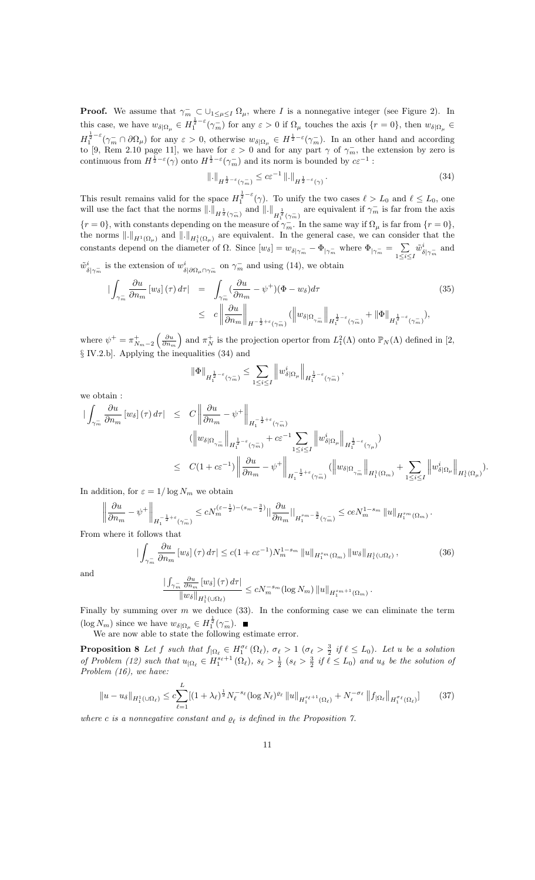**Proof.** We assume that  $\gamma_m \subset \bigcup_{1 \leq \mu \leq I} \Omega_\mu$ , where I is a nonnegative integer (see Figure 2). In this case, we have  $w_{\delta|\Omega_{\mu}} \in H_1^{\frac{1}{2}-\varepsilon}(\gamma_m^-)$  for any  $\varepsilon > 0$  if  $\Omega_{\mu}$  touches the axis  $\{r=0\}$ , then  $w_{\delta|\Omega_{\mu}} \in$  $H_1^{\frac{1}{2}-\varepsilon}(\gamma_m^- \cap \partial \Omega_\mu)$  for any  $\varepsilon > 0$ , otherwise  $w_{\delta|\Omega_\mu} \in H^{\frac{1}{2}-\varepsilon}(\gamma_m^-)$ . In an other hand and according to [9, Rem 2.10 page 11], we have for  $\varepsilon > 0$  and for any part  $\gamma$  of  $\gamma_m^-$ , the extension by zero is continuous from  $H^{\frac{1}{2}-\varepsilon}(\gamma)$  onto  $H^{\frac{1}{2}-\varepsilon}(\gamma_m^-)$  and its norm is bounded by  $c\varepsilon^{-1}$ :

$$
\|.\|_{H^{\frac{1}{2}-\varepsilon}(\gamma_m^-)} \leq c\varepsilon^{-1} \, \|.\|_{H^{\frac{1}{2}-\varepsilon}(\gamma)}.
$$
\n
$$
(34)
$$

This result remains valid for the space  $H_1^{\frac{1}{2}-\varepsilon}(\gamma)$ . To unify the two cases  $\ell > L_0$  and  $\ell \leq L_0$ , one will use the fact that the norms  $\|.\|_{H^{\frac{1}{2}}(\gamma_m^-)}$  and  $\|.\|_{H^{\frac{1}{2}}(\gamma_m^-)}$  are equivalent if  $\gamma_m^-$  is far from the axis  $\{r=0\}$ , with constants depending on the measure of  $\gamma_m^-$ . In the same way if  $\Omega_\mu$  is far from  $\{r=0\}$ , the norms  $\|.\|_{H^1(\Omega_\mu)}$  and  $\|.\|_{H^1_1(\Omega_\mu)}$  are equivalent. In the general case, we can consider that the constants depend on the diameter of  $\Omega$ . Since  $[w_\delta] = w_{\delta|\gamma_m^-} - \Phi_{|\gamma_m^-}$  where  $\Phi_{|\gamma_m^-} = \sum_{1 \leq i \leq m}$  $1\leq i\leq I$  $\tilde{w}_s^i$  $_{\delta|\gamma_m^-}^i$  and  $\tilde{w}_s^i$  $\frac{i}{\delta|\gamma_m^-}$  is the extension of  $w_\delta^i$  $i_{\delta|\partial\Omega_\mu\cap\gamma_m^-}$  on  $\gamma_m^-$  and using (14), we obtain

$$
\begin{split}\n|\int_{\gamma_m^-} \frac{\partial u}{\partial n_m} \left[ w_\delta \right](\tau) \, d\tau| &= \int_{\gamma_m^-} (\frac{\partial u}{\partial n_m} - \psi^+)(\Phi - w_\delta) d\tau \\
&\leq c \left\| \frac{\partial u}{\partial n_m} \right\|_{H^{-\frac{1}{2} + \varepsilon}(\gamma_m^-)} \left( \left\| w_\delta \right|_{\Omega_{\gamma_m^-}} \right\|_{H_1^{\frac{1}{2} - \varepsilon}(\gamma_m^-)} + \left\| \Phi \right\|_{H_1^{\frac{1}{2} - \varepsilon}(\gamma_m^-)}\n\end{split} \tag{35}
$$

where  $\psi^+ = \pi_{N_m-2}^+$  $\left(\frac{\partial u}{\partial n_m}\right)$ ) and  $\pi_N^+$  is the projection opertor from  $L_1^2(\Lambda)$  onto  $\mathbb{P}_N(\Lambda)$  defined in [2,  $\S$  IV.2.b]. Applying the inequalities (34) and

$$
\|\Phi\|_{H_1^{\frac{1}{2}-\varepsilon}(\gamma_m^-)} \leq \sum_{1 \leq i \leq I} \left\| w^i_{\delta|\Omega_\mu} \right\|_{H_1^{\frac{1}{2}-\varepsilon}(\gamma_m^-)},
$$

we obtain :

$$
\begin{array}{lcl} \displaystyle | \int_{\gamma^-_m}\frac{\partial u}{\partial n_m}\left[w_\delta\right](\tau)\,d\tau | & \leq & \displaystyle C \left\| \frac{\partial u}{\partial n_m} - \psi^+\right\|_{H_1^{-\frac{1}{2}+\varepsilon}(\gamma^-_m)}\\ & & \displaystyle ( \left\| w_{\delta|\Omega_{\gamma^-_m}}\right\|_{H_1^{\frac{1}{2}-\varepsilon}(\gamma^-_m)} + c\varepsilon^{-1} \sum_{1\leq i\leq I}\left\| w^i_{\delta|\Omega_\mu}\right\|_{H_1^{\frac{1}{2}-\varepsilon}(\gamma_\mu)} )\\ & & \leq & \displaystyle C (1+c\varepsilon^{-1}) \left\| \frac{\partial u}{\partial n_m} - \psi^+\right\|_{H_1^{-\frac{1}{2}+\varepsilon}(\gamma^-_m)} (\left\| w_{\delta|\Omega_{\gamma^-_m}}\right\|_{H_1^1(\Omega_m)} + \sum_{1\leq i\leq I}\left\| w^i_{\delta|\Omega_\mu}\right\|_{H_1^1(\Omega_\mu)} ). \end{array}
$$

In addition, for  $\varepsilon = 1/\log N_m$  we obtain

$$
\left\|\frac{\partial u}{\partial n_m}-\psi^+\right\|_{H_1^{-\frac{1}{2}+\varepsilon}(\gamma_m^-)}\leq cN_m^{(\varepsilon-\frac{1}{2})-(s_m-\frac{3}{2})}\|\frac{\partial u}{\partial n_m}\|_{H_1^{s_m-\frac{3}{2}}(\gamma_m^-)}\leq c e N_m^{1-s_m}\left\|u\right\|_{H_1^{s_m}(\Omega_m)}.
$$

From where it follows that

$$
\left| \int_{\gamma_m^-} \frac{\partial u}{\partial n_m} \left[ w_\delta \right] (\tau) \, d\tau \right| \le c \left( 1 + c \varepsilon^{-1} \right) N_m^{1 - s_m} \left\| u \right\|_{H_1^{s_m}(\Omega_m)} \left\| w_\delta \right\|_{H_1^1(\cup \Omega_\ell)},\tag{36}
$$

and

$$
\frac{\left|\int_{\gamma_m^-} \frac{\partial u}{\partial n_m} \left[w_\delta\right](\tau) d\tau\right|}{\|w_\delta\|_{H_1^1(\cup\Omega_\ell)}} \le c N_m^{-s_m} (\log N_m) \|u\|_{H_1^{s_m+1}(\Omega_m)}.
$$

Finally by summing over  $m$  we deduce (33). In the conforming case we can eliminate the term  $(\log N_m)$  since we have  $w_{\delta|\Omega_\mu} \in H_1^{\frac{1}{2}}(\gamma_m^-)$ .

We are now able to state the following estimate error.

**Proposition 8** Let f such that  $f_{\vert \Omega_\ell} \in H_1^{\sigma_\ell}(\Omega_\ell)$ ,  $\sigma_\ell > 1$  ( $\sigma_\ell > \frac{3}{2}$  if  $\ell \leq L_0$ ). Let u be a solution of Problem (12) such that  $u_{\vert \Omega_\ell} \in H_1^{s_\ell+1}(\Omega_\ell)$ ,  $s_\ell > \frac{1}{2}$   $(s_\ell > \frac{3}{2}$  if  $\ell \leq L_0$  and  $u_\delta$  be the solution of Problem (16), we have:

$$
\|u - u_{\delta}\|_{H_1^1(\cup\Omega_{\ell})} \leq c \sum_{\ell=1}^L [(1+\lambda_{\ell})^{\frac{1}{2}} N_{\ell}^{-s_{\ell}} (\log N_{\ell})^{e_{\ell}} \|u\|_{H_1^{s_{\ell}+1}(\Omega_{\ell})} + N_{\ell}^{-\sigma_{\ell}} \|f_{|\Omega_{\ell}}\|_{H_1^{\sigma_{\ell}}(\Omega_{\ell})}] \tag{37}
$$

where c is a nonnegative constant and  $\rho_{\ell}$  is defined in the Proposition 7.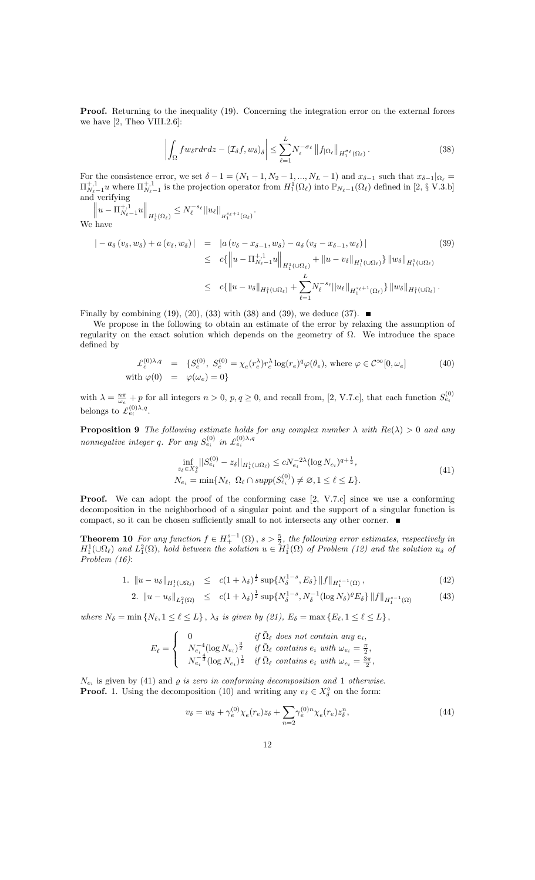**Proof.** Returning to the inequality (19). Concerning the integration error on the external forces we have  $[2,$  Theo VIII.2.6]:

$$
\left| \int_{\Omega} f w_{\delta} r dr dz - \left( \mathcal{I}_{\delta} f, w_{\delta} \right)_{\delta} \right| \leq \sum_{\ell=1}^{L} N_{\ell}^{-\sigma_{\ell}} \left\| f_{|\Omega_{\ell}} \right\|_{H_1^{\sigma_{\ell}}(\Omega_{\ell})}.
$$
\n(38)

For the consistence error, we set  $\delta - 1 = (N_1 - 1, N_2 - 1, ..., N_L - 1)$  and  $x_{\delta-1}$  such that  $x_{\delta-1}|_{\Omega_\ell} =$  $\Pi_{N_{\ell}-1}^{+,1} u$  where  $\Pi_{N_{\ell}-1}^{+,1}$  is the projection operator from  $H_1^1(\Omega_{\ell})$  into  $\mathbb{P}_{N_{\ell}-1}(\Omega_{\ell})$  defined in  $[2, \S V.3.5]$ and verifying  $\parallel$  $\parallel$ 

$$
\|u - \Pi_{N_{\ell-1}}^{+,1}u\|_{H_1^1(\Omega_{\ell})} \le N_{\ell}^{-s_{\ell}} \|u_{\ell}\|_{H_1^{s_{\ell}+1}(\Omega_{\ell})}.
$$
  
We have

$$
\begin{split}\n&|-a_{\delta}\left(v_{\delta}, w_{\delta}\right) + a\left(v_{\delta}, w_{\delta}\right)| &= |a\left(v_{\delta} - x_{\delta - 1}, w_{\delta}\right) - a_{\delta}\left(v_{\delta} - x_{\delta - 1}, w_{\delta}\right)| \\
&\leq c\{\left\|u - \Pi_{N_{\ell}-1}^{+,1}u\right\|_{H_{1}^{1}(\cup\Omega_{\ell})} + \|u - v_{\delta}\|_{H_{1}^{1}(\cup\Omega_{\ell})}\} \|w_{\delta}\|_{H_{1}^{1}(\cup\Omega_{\ell})} \\
&\leq c\{\left\|u - v_{\delta}\right\|_{H_{1}^{1}(\cup\Omega_{\ell})} + \sum_{\ell=1}^{L} N_{\ell}^{-s_{\ell}} \|u_{\ell}\|_{H_{1}^{s_{\ell}+1}(\Omega_{\ell})}\} \|w_{\delta}\|_{H_{1}^{1}(\cup\Omega_{\ell})}.\n\end{split}
$$
\n(39)

Finally by combining (19), (20), (33) with (38) and (39), we deduce (37).  $\blacksquare$ 

We propose in the following to obtain an estimate of the error by relaxing the assumption of regularity on the exact solution which depends on the geometry of  $\Omega$ . We introduce the space defined by

$$
\mathcal{L}_e^{(0)\lambda,q} = \{S_e^{(0)}, S_e^{(0)} = \chi_e(r_e^{\lambda})r_e^{\lambda}\log(r_e)^q\varphi(\theta_e), \text{ where } \varphi \in \mathcal{C}^{\infty}[0, \omega_e]
$$
\n
$$
\text{with } \varphi(0) = \varphi(\omega_e) = 0\}
$$
\n(40)

with  $\lambda = \frac{n\pi}{\omega_e} + p$  for all integers  $n > 0$ ,  $p, q \ge 0$ , and recall from, [2, V.7.c], that each function  $S_{e_i}^{(0)}$ belongs to  $\mathcal{L}_{e_i}^{(0)\lambda,q}$ .

**Proposition 9** The following estimate holds for any complex number  $\lambda$  with  $Re(\lambda) > 0$  and any nonnegative integer q. For any  $S_{e_i}^{(0)}$  in  $\mathcal{L}_{e_i}^{(0)\lambda,q}$ 

$$
\inf_{z_{\delta} \in X_{\delta}^{0}} ||S_{e_{i}}^{(0)} - z_{\delta}||_{H_{1}^{1}(\cup \Omega_{\ell})} \le cN_{e_{i}}^{-2\lambda} (\log N_{e_{i}})^{q + \frac{1}{2}},
$$
\n
$$
N_{e_{i}} = \min \{ N_{\ell}, \ \Omega_{\ell} \cap \operatorname{supp}(S_{e_{i}}^{(0)}) \ne \emptyset, 1 \le \ell \le L \}.
$$
\n
$$
(41)
$$

**Proof.** We can adopt the proof of the conforming case [2, V.7.c] since we use a conforming decomposition in the neighborhood of a singular point and the support of a singular function is compact, so it can be chosen sufficiently small to not intersects any other corner.  $\blacksquare$ 

**Theorem 10** For any function  $f \in H^{s-1}_+(\Omega)$ ,  $s > \frac{5}{2}$ , the following error estimates, respectively in  $H_1^1(\cup\Omega_\ell)$  and  $L_1^2(\Omega)$ , hold between the solution  $u \in H_1^1(\Omega)$  of Problem (12) and the solution  $u_\delta$  of Problem (16):

1. 
$$
\|u - u_{\delta}\|_{H_1^1(\mathbb{Q}\Omega_{\ell})} \leq c(1 + \lambda_{\delta})^{\frac{1}{2}} \sup \{N_{\delta}^{1-s}, E_{\delta}\} \|f\|_{H_1^{s-1}(\Omega)},
$$
\n(42)

2. 
$$
||u - u_{\delta}||_{L_1^2(\Omega)} \leq c(1 + \lambda_{\delta})^{\frac{1}{2}} \sup \{ N_{\delta}^{1-s}, N_{\delta}^{-1} (\log N_{\delta})^{\varrho} E_{\delta} \} ||f||_{H_1^{s-1}(\Omega)}
$$
 (43)

where  $N_\delta = \min \left\{ N_\ell, 1 \leq \ell \leq L \right\}$ ,  $\lambda_\delta$  is given by (21),  $E_\delta = \max \left\{ E_\ell, 1 \leq \ell \leq L \right\}$ ,

$$
E_{\ell} = \begin{cases} \begin{array}{ll} 0 & \text{if } \bar{\Omega}_{\ell} \text{ does not contain any } e_i, \\ N_{e_i}^{-4} (\log N_{e_i})^{\frac{3}{2}} & \text{if } \bar{\Omega}_{\ell} \text{ contains } e_i \text{ with } \omega_{e_i} = \frac{\pi}{2}, \\ N_{e_i}^{-\frac{4}{3}} (\log N_{e_i})^{\frac{1}{2}} & \text{if } \bar{\Omega}_{\ell} \text{ contains } e_i \text{ with } \omega_{e_i} = \frac{3\pi}{2}, \end{array} \end{cases}
$$

 $N_{e_i}$  is given by (41) and  $\varrho$  is zero in conforming decomposition and 1 otherwise. **Proof.** 1. Using the decomposition (10) and writing any  $v_{\delta} \in X_{\delta}^{\diamond}$  on the form:

$$
v_{\delta} = w_{\delta} + \gamma_e^{(0)} \chi_e(r_e) z_{\delta} + \sum_{n=2} \gamma_e^{(0)n} \chi_e(r_e) z_{\delta}^n, \tag{44}
$$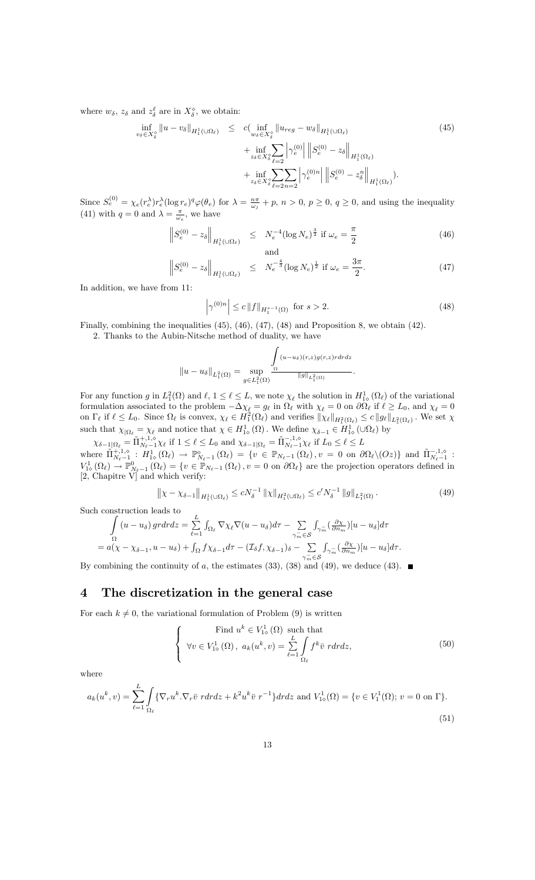where  $w_{\delta}$ ,  $z_{\delta}$  and  $z_{\delta}^{\ell}$  are in  $X_{\delta}^{\diamond}$ , we obtain:

$$
\inf_{v_{\delta} \in X_{\delta}^{\circ}} \|u - v_{\delta}\|_{H_1^1(\cup \Omega_{\ell})} \leq c \big( \inf_{w_{\delta} \in X_{\delta}^{\circ}} \|u_{reg} - w_{\delta}\|_{H_1^1(\cup \Omega_{\ell})} + \inf_{z_{\delta} \in X_{\delta}^{\circ}} \sum_{\ell=2}^{\infty} \left| \gamma_e^{(0)} \right| \left\| S_e^{(0)} - z_{\delta} \right\|_{H_1^1(\Omega_{\ell})} + \inf_{z_{\delta} \in X_{\delta}^{\circ}} \sum_{\ell=2n-2} \left| \gamma_e^{(0)n} \right| \left\| S_e^{(0)} - z_{\delta}^n \right\|_{H_1^1(\Omega_{\ell})} .
$$
\n(45)

Since  $S_e^{(0)} = \chi_e(r_e^{\lambda})r_e^{\lambda}(\log r_e)^q \varphi(\theta_e)$  for  $\lambda = \frac{n\pi}{\omega_j} + p$ ,  $n > 0$ ,  $p \ge 0$ ,  $q \ge 0$ , and using the inequality (41) with  $q = 0$  and  $\lambda = \frac{\pi}{\omega_e}$ , we have

$$
\left\|S_e^{(0)} - z_\delta\right\|_{H_1^1(\cup\Omega_\ell)} \le N_e^{-4} (\log N_e)^{\frac{3}{2}} \text{ if } \omega_e = \frac{\pi}{2}
$$
 (46)

$$
\left\| S_e^{(0)} - z_\delta \right\|_{H_1^1(\cup\Omega_\ell)} \leq N_e^{-\frac{4}{3}} (\log N_e)^{\frac{1}{2}} \text{ if } \omega_e = \frac{3\pi}{2}.
$$
 (47)

In addition, we have from 11:

$$
\left|\gamma^{(0)n}\right| \le c \left\|f\right\|_{H_1^{s-1}(\Omega)} \text{ for } s > 2. \tag{48}
$$

Finally, combining the inequalities (45), (46), (47), (48) and Proposition 8, we obtain (42).

2. Thanks to the Aubin-Nitsche method of duality, we have

$$
||u - u_{\delta}||_{L_1^2(\Omega)} = \sup_{g \in L_1^2(\Omega)} \frac{\int_{\Omega} (u - u_{\delta})(r,z)g(r,z)r dr dz}{||g||_{L_1^2(\Omega)}}.
$$

For any function g in  $L_1^2(\Omega)$  and  $\ell, 1 \leq \ell \leq L$ , we note  $\chi_{\ell}$  the solution in  $H_{1}^1(\Omega_{\ell})$  of the variational For any function g in  $L_1(s)$  and  $\ell$ ,  $1 \leq \ell \leq L$ , we note  $\chi_{\ell}$  the solution in  $H_{1s}$  ( $s \ell$ ) of the variational formulation associated to the problem  $-\Delta \chi_{\ell} = g_{\ell}$  in  $\Omega_{\ell}$  with  $\chi_{\ell} = 0$  on  $\partial \Omega_{\ell}$  i on  $\Gamma_{\ell}$  if  $\ell \leq L_0$ . Since  $\Omega_{\ell}$  is convex,  $\chi_{\ell} \in H_1^2(\Omega_{\ell})$  and verifies  $\|\chi_{\ell}\|_{H_1^2(\Omega_{\ell})} \leq c \|g_{\ell}\|_{L_1^2(\Omega_{\ell})}$ . We set  $\chi$ such that  $\chi_{\Omega_\ell} = \chi_\ell$  and notice that  $\chi \in H^1_{1\circ}(\Omega)$ . We define  $\chi_{\delta-1} \in H^1_{1\circ}(\cup \Omega_\ell)$  by

 $\chi_{\delta-1|\Omega_\ell} = \tilde{\Pi}_{N_\ell-1}^{+,1,\circ} \chi_\ell \text{ if } 1 \leq \ell \leq L_0 \text{ and } \chi_{\delta-1|\Omega_\ell} = \tilde{\Pi}_{N_\ell-1}^{-,1,\circ} \chi_\ell \text{ if } L_0 \leq \ell \leq L$ where  $\tilde{\Pi}_{N_{\ell-1}}^{+,1,\diamond} : H^1_{1\diamond}(\Omega_{\ell}) \to \mathbb{P}_{N_{\ell-1}}^{\diamond}(\Omega_{\ell}) = \{v \in \mathbb{P}_{N_{\ell-1}}(\Omega_{\ell}), v = 0 \text{ on } \partial\Omega_{\ell} \setminus (Oz)\}$  and  $\tilde{\Pi}_{N_{\ell-1}}^{-,1,\diamond}$ :  $V^1_{\infty}(\Omega_{\ell}) \to \mathbb{P}^0_{N_{\ell}-1}(\Omega_{\ell}) = \{v \in \mathbb{P}_{N_{\ell}-1}(\Omega_{\ell}), v = 0 \text{ on } \partial\Omega_{\ell}\}\$ are the projection operators defined in [2, Chapitre V] and which verify:

$$
\left\|\chi - \chi_{\delta - 1}\right\|_{H_1^1(\cup\Omega_\ell)} \le cN_\delta^{-1} \left\|\chi\right\|_{H_1^2(\cup\Omega_\ell)} \le c'N_\delta^{-1} \left\|g\right\|_{L_1^2(\Omega)}.
$$
\n(49)

Such construction leads to

$$
\int_{\Omega} (u - u_{\delta}) \, gr dr dz = \sum_{\ell=1}^{L} \int_{\Omega_{\ell}} \nabla \chi_{\ell} \nabla (u - u_{\delta}) d\tau - \sum_{\gamma_{m} \in \mathcal{S}} \int_{\gamma_{m}^{-}} (\frac{\partial \chi}{\partial n_{m}}) [u - u_{\delta}] d\tau
$$
\n
$$
= a(\chi - \chi_{\delta - 1}, u - u_{\delta}) + \int_{\Omega} f \chi_{\delta - 1} d\tau - (\mathcal{I}_{\delta} f, \chi_{\delta - 1})_{\delta} - \sum_{\gamma_{m} \in \mathcal{S}} \int_{\gamma_{m}^{-}} (\frac{\partial \chi}{\partial n_{m}}) [u - u_{\delta}] d\tau.
$$

By combining the continuity of a, the estimates (33), (38) and (49), we deduce (43).

## 4 The discretization in the general case

For each  $k \neq 0$ , the variational formulation of Problem (9) is written

$$
\begin{cases}\n\text{Find } u^k \in V^1_{1\diamond}(\Omega) \text{ such that} \\
\forall v \in V^1_{1\diamond}(\Omega), \ a_k(u^k, v) = \sum_{\ell=1}^L \int_{\Omega_\ell} f^k \bar{v} \ r dr dz,\n\end{cases} \tag{50}
$$

where

$$
a_k(u^k, v) = \sum_{\ell=1}^L \int_{\Omega_\ell} \{ \nabla_r u^k \cdot \nabla_r \bar{v} \ r dr dz + k^2 u^k \bar{v} \ r^{-1} \} dr dz \text{ and } V^1_{1\diamond}(\Omega) = \{ v \in V^1_1(\Omega); v = 0 \text{ on } \Gamma \}. \tag{51}
$$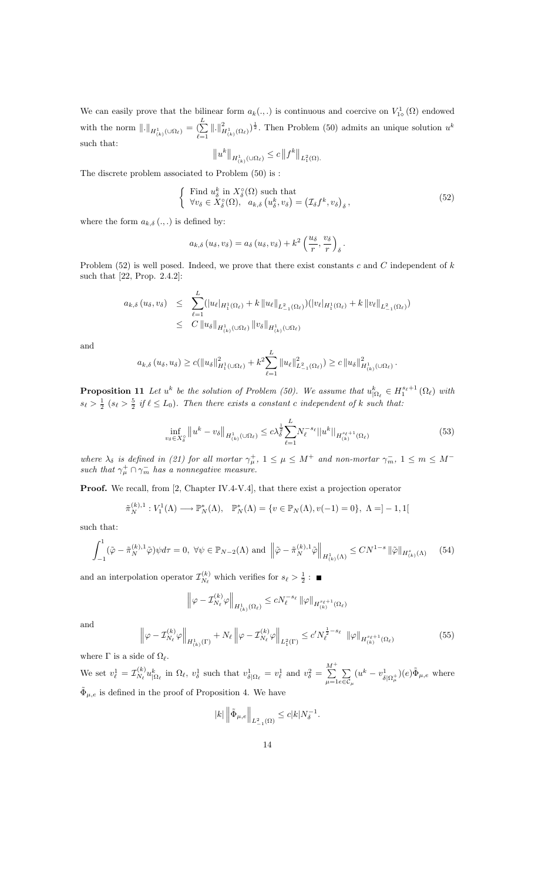We can easily prove that the bilinear form  $a_k(.,.)$  is continuous and coercive on  $V^1_{1\diamond}(\Omega)$  endowed with the norm  $\|.\|_{H^1_{(k)}(\cup\Omega_\ell)} = \left(\sum_{\ell=1}^L\right)$  $(\sum_{\ell=1}^{\infty} ||.||_{H^1_{(k)}(\Omega_{\ell})}^2)^{\frac{1}{2}}$ . Then Problem (50) admits an unique solution  $u^k$ such that:

$$
||u^k||_{H^1_{(k)}(\cup\Omega_{\ell})} \leq c||f^k||_{L^2_1(\Omega)}.
$$

The discrete problem associated to Problem (50) is :

$$
\begin{cases}\n\text{Find } u_{\delta}^{k} \text{ in } X_{\delta}^{\circ}(\Omega) \text{ such that} \\
\forall v_{\delta} \in X_{\delta}^{\circ}(\Omega), \quad a_{k,\delta} \left( u_{\delta}^{k}, v_{\delta} \right) = \left( \mathcal{I}_{\delta} f^{k}, v_{\delta} \right)_{\delta},\n\end{cases} \tag{52}
$$

where the form  $a_{k,\delta}$  (...) is defined by:

$$
a_{k,\delta}(u_{\delta},v_{\delta})=a_{\delta}(u_{\delta},v_{\delta})+k^2\left(\frac{u_{\delta}}{r},\frac{v_{\delta}}{r}\right)_{\delta}.
$$

Problem  $(52)$  is well posed. Indeed, we prove that there exist constants c and C independent of k such that [22, Prop. 2.4.2]:

$$
a_{k,\delta}(u_{\delta},v_{\delta}) \leq \sum_{\ell=1}^{L} (|u_{\ell}|_{H_1^1(\Omega_{\ell})} + k ||u_{\ell}||_{L_{-1}^2(\Omega_{\ell})}) (|v_{\ell}|_{H_1^1(\Omega_{\ell})} + k ||v_{\ell}||_{L_{-1}^2(\Omega_{\ell})})
$$
  
 
$$
\leq C ||u_{\delta}||_{H_{(k)}^1(\cup \Omega_{\ell})} ||v_{\delta}||_{H_{(k)}^1(\cup \Omega_{\ell})}
$$

and

$$
a_{k,\delta}(u_{\delta}, u_{\delta}) \ge c(||u_{\delta}||_{H_1^1(\cup\Omega_\ell)}^2 + k^2 \sum_{\ell=1}^L ||u_{\ell}||_{L_{-1}^2(\Omega_\ell)}^2) \ge c ||u_{\delta}||_{H_{(k)}^1(\cup\Omega_\ell)}^2
$$

**Proposition 11** Let  $u^k$  be the solution of Problem (50). We assume that  $u^k_{\vert \Omega_\ell} \in H_1^{s_{\ell}+1}(\Omega_\ell)$  with  $s_{\ell} > \frac{1}{2}$   $(s_{\ell} > \frac{5}{2}$  if  $\ell \leq L_0$ ). Then there exists a constant c independent of k such that:

$$
\inf_{v_{\delta} \in X_{\delta}^{\circ}} \|u^{k} - v_{\delta}\|_{H_{(k)}^{1}(\cup \Omega_{\ell})} \leq c\lambda_{\delta}^{\frac{1}{2}} \sum_{\ell=1}^{L} N_{\ell}^{-s_{\ell}} \|u^{k}\|_{H_{(k)}^{s_{\ell}+1}(\Omega_{\ell})}
$$
(53)

:

where  $\lambda_{\delta}$  is defined in (21) for all mortar  $\gamma_{\mu}^{+}$ ,  $1 \leq \mu \leq M^{+}$  and non-mortar  $\gamma_{m}^{-}$ ,  $1 \leq m \leq M^{-}$ such that  $\gamma^+_{\mu} \cap \gamma^-_{m}$  has a nonnegative measure.

Proof. We recall, from [2, Chapter IV.4-V.4], that there exist a projection operator

$$
\tilde{\pi}_N^{(k),1}: V_1^1(\Lambda) \longrightarrow \mathbb{P}_N^*(\Lambda), \quad \mathbb{P}_N^*(\Lambda) = \{ v \in \mathbb{P}_N(\Lambda), v(-1) = 0 \}, \quad \Lambda = ]-1,1[
$$

such that:

$$
\int_{-1}^{1} (\tilde{\varphi} - \tilde{\pi}_N^{(k),1} \tilde{\varphi}) \psi d\tau = 0, \ \forall \psi \in \mathbb{P}_{N-2}(\Lambda) \text{ and } \left\| \tilde{\varphi} - \tilde{\pi}_N^{(k),1} \tilde{\varphi} \right\|_{H^1_{(k)}(\Lambda)} \leq C N^{1-s} \|\tilde{\varphi}\|_{H^s_{(k)}(\Lambda)} \tag{54}
$$

and an interpolation operator  $\mathcal{I}_{N_{\ell}}^{(k)}$  $N_{\ell}^{(k)}$  which verifies for  $s_{\ell} > \frac{1}{2}$ :

$$
\left\|\varphi-\mathcal{I}_{N_\ell}^{(k)}\varphi\right\|_{H_{(k)}^1(\Omega_\ell)}\le cN_\ell^{-s_\ell}\left\|\varphi\right\|_{H_{(k)}^{s_\ell+1}(\Omega_\ell)}
$$

and

$$
\left\| \varphi - \mathcal{I}_{N_{\ell}}^{(k)} \varphi \right\|_{H^1_{(k)}(\Gamma)} + N_{\ell} \left\| \varphi - \mathcal{I}_{N_{\ell}}^{(k)} \varphi \right\|_{L^2_1(\Gamma)} \le c' N_{\ell}^{\frac{1}{2} - s_{\ell}} \left\| \varphi \right\|_{H^{\frac{s_{\ell}+1}{(k)}}_{(k)}(\Omega_{\ell})}
$$
(55)

where  $\Gamma$  is a side of  $\Omega_{\ell}$ .

We set  $v_{\ell}^1 = \mathcal{I}_{N_{\ell}}^{(k)}$  $\int_{N_{\ell}}^{(k)} u_{|\Omega_{\ell}}^k$  in  $\Omega_{\ell}$ ,  $v_{\delta}^1$  such that  $v_{\delta|\Omega_{\ell}}^1 = v_{\ell}^1$  and  $v_{\delta}^2 = \sum_{n=1}^{M^{+}}$  $\mu = 1$  $\sum$  $e{\in}{\mathcal{C}}_\mu$  $(u^k - v_\delta^1)$  $(\frac{1}{\delta|\Omega_{\mu}^+})(e)\tilde{\Phi}_{\mu,e}$  where  $\tilde{\Phi}_{\mu,e}$  is defined in the proof of Proposition 4. We have

$$
|k| \left\| \tilde{\Phi}_{\mu,e} \right\|_{L_{-1}^2(\Omega)} \leq c |k| N_{\delta}^{-1}.
$$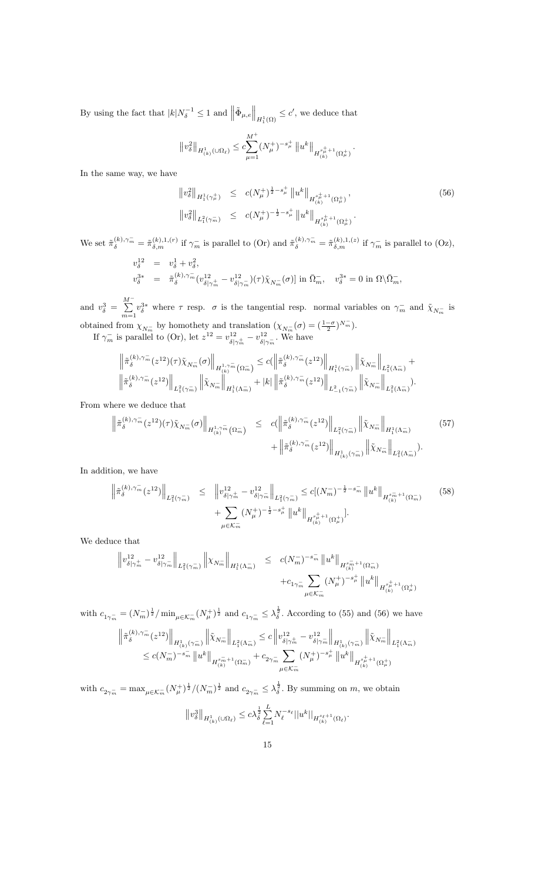By using the fact that  $|k|N_{\delta}^{-1} \leq 1$  and  $\left\|\tilde{\Phi}_{\mu,e}\right\|_{H_1^1(\Omega)} \leq c'$ , we deduce that

$$
\left\|v_{\delta}^{2}\right\|_{H_{(k)}^{1}\left(\cup\Omega_{\ell}\right)} \leq c \underset{\mu=1}{\overset{M^{+}}{\sum}} (N_{\mu}^{+})^{-s_{\mu}^{+}}\left\|u^{k}\right\|_{H_{(k)}^{s_{\mu}^{+}+1}\left(\Omega_{\mu}^{+}\right)}.
$$

In the same way, we have

$$
\|v_{\delta}^{2}\|_{H_{1}^{1}(\gamma_{\mu}^{+})} \leq c(N_{\mu}^{+})^{\frac{1}{2}-s_{\mu}^{+}} \|u^{k}\|_{H_{(k)}^{s_{\mu}^{+}+1}(\Omega_{\mu}^{+})},
$$
\n
$$
\|v_{\delta}^{2}\|_{L_{1}^{2}(\gamma_{m}^{-})} \leq c(N_{\mu}^{+})^{-\frac{1}{2}-s_{\mu}^{+}} \|u^{k}\|_{H_{(k)}^{s_{\mu}^{+}+1}(\Omega_{\mu}^{+})}.
$$
\n
$$
(56)
$$

We set  $\tilde{\pi}_{\delta}^{(k),\gamma_m^-} = \tilde{\pi}_{\delta,m}^{(k),1,(r)}$  if  $\gamma_m^-$  is parallel to (Or) and  $\tilde{\pi}_{\delta}^{(k),\gamma_m^-} = \tilde{\pi}_{\delta,m}^{(k),1,(z)}$  if  $\gamma_m^-$  is parallel to (Oz),

$$
v_{\delta}^{12} = v_{\delta}^{1} + v_{\delta}^{2},
$$
  

$$
v_{\delta}^{3*} = \tilde{\pi}_{\delta}^{(k), \gamma_{m}^{-}} (v_{\delta|\gamma_{m}^{+}}^{12} - v_{\delta|\gamma_{m}^{-}}^{12}) (\tau) \tilde{\chi}_{N_{m}^{-}}(\sigma)] \text{ in } \bar{\Omega}_{m}^{-}, \quad v_{\delta}^{3*} = 0 \text{ in } \Omega \backslash \bar{\Omega}_{m}^{-},
$$

and  $v_{\delta}^3 = \sum_{n=1}^{M-1}$  $\sum_{m=1} v_\delta^{3*}$  where  $\tau$  resp.  $\sigma$  is the tangential resp. normal variables on  $\gamma_m^-$  and  $\tilde{\chi}_{N_m^-}$  is obtained from  $\chi_{N_m^-}$  by homothety and translation  $(\chi_{N_m^-}(\sigma) = (\frac{1-\sigma}{2})^{N_m^-})$ .

If  $\gamma_m^-$  is parallel to (Or), let  $z^{12} = v_{\delta|z}^{12}$  $\frac{12}{\delta|\gamma_m^+} - v_{\delta|}^{12}$  $\frac{12}{\delta|\gamma_m}$ . We have

$$
\begin{aligned} &\left\|\tilde{\pi}_{\delta}^{(k), \gamma_m^-}(z^{12})(\tau)\tilde{\chi}_{N_m^-}(\sigma)\right\|_{H_{(k)}^{1,\gamma_m^-}(\Omega_m^-)}\leq c(\left\|\tilde{\pi}_{\delta}^{(k), \gamma_m^-}(z^{12})\right\|_{H_{1}^1(\gamma_m^-)}\left\|\tilde{\chi}_{N_m^-}\right\|_{L_{1}^2(\Lambda_m^-)}+\\ &\left\|\tilde{\pi}_{\delta}^{(k), \gamma_m^-}(z^{12})\right\|_{L_{1}^2(\gamma_m^-)}\left\|\tilde{\chi}_{N_m^-}\right\|_{H_{1}^1(\Lambda_m^-)}+|k|\left\|\tilde{\pi}_{\delta}^{(k), \gamma_m^-}(z^{12})\right\|_{L_{-1}^2(\gamma_m^-)}\left\|\tilde{\chi}_{N_m^-}\right\|_{L_{1}^2(\Lambda_m^-)}.\end{aligned}
$$

From where we deduce that

$$
\left\| \tilde{\pi}_{\delta}^{(k),\gamma_{m}^{-}}(z^{12})(\tau)\tilde{\chi}_{N_{m}^{-}}(\sigma) \right\|_{H^{1,\gamma_{m}^{-}}_{(k)}(\Omega_{m}^{-})} \leq c(\left\| \tilde{\pi}_{\delta}^{(k),\gamma_{m}^{-}}(z^{12}) \right\|_{L_{1}^{2}(\gamma_{m}^{-})} \left\| \tilde{\chi}_{N_{m}^{-}} \right\|_{H_{1}^{1}(\Lambda_{m}^{-})} \tag{57}
$$

$$
+ \left\| \tilde{\pi}_{\delta}^{(k),\gamma_{m}^{-}}(z^{12}) \right\|_{H^{1}_{(k)}(\gamma_{m}^{-})} \left\| \tilde{\chi}_{N_{m}^{-}} \right\|_{L_{1}^{2}(\Lambda_{m}^{-})}.
$$

In addition, we have

$$
\left\| \tilde{\pi}_{\delta}^{(k), \gamma_m^{-}}(z^{12}) \right\|_{L_1^2(\gamma_m^{-})} \leq \left\| v_{\delta|\gamma_m^{+}}^{12} - v_{\delta|\gamma_m^{-}}^{12} \right\|_{L_1^2(\gamma_m^{-})} \leq c[(N_m^{-})^{-\frac{1}{2} - s_m^{-}} \left\| u^k \right\|_{H_{(k)}^{s_m^{-}+1}(\Omega_m^{-})}
$$
(58)  
+ 
$$
\sum_{\mu \in \mathcal{K}_m^{-}} (N_\mu^{+})^{-\frac{1}{2} - s_\mu^{+}} \left\| u^k \right\|_{H_{(k)}^{s_\mu^{+}+1}(\Omega_\mu^{+})}.
$$

We deduce that

$$
\begin{array}{rcl} \left\|v^{12}_{\delta|\gamma_m^+}-v^{12}_{\delta|\gamma_m^-}\right\|_{L^2_1(\gamma_m^-)}\left\|\chi_{N_m^-}\right\|_{H^1_1(\Lambda_m^-)} & \leq & c(N_m^-)^{-s_m^-}\left\|u^k\right\|_{H^{{s}_m^-+1}_{(k)}(\Omega_m^-)}\\& & +c_{1\gamma_m^-}\sum_{\mu\in\mathcal{K}_m^-}\left(N_\mu^+\right)^{-s_\mu^+}\left\|u^k\right\|_{H^{{s}_\mu^++1}_{(k)}(\Omega_\mu^+)}\\ \end{array}
$$

with  $c_{1\gamma_m^-} = (N_m^-)^{\frac{1}{2}} / \min_{\mu \in \mathcal{K}_m^-} (N_\mu^+)^{\frac{1}{2}}$  and  $c_{1\gamma_m^-} \leq \lambda_{\delta}^{\frac{1}{2}}$ . According to (55) and (56) we have

$$
\begin{aligned} \left\| \tilde{\pi}_{\delta}^{(k),\gamma_{m}^{-}}(z^{12}) \right\|_{H_{(k)}^{1}(\gamma_{m}^{-})} \left\| \tilde{\chi}_{N_{m}^{-}} \right\|_{L_{1}^{2}(\Lambda_{m}^{-})} \leq c \left\| v_{\delta|\gamma_{m}^{+}}^{12} - v_{\delta|\gamma_{m}^{-}}^{12} \right\|_{H_{(k)}^{1}(\gamma_{m}^{-})} \left\| \tilde{\chi}_{N_{m}^{-}} \right\|_{L_{1}^{2}(\Lambda_{m}^{-})} \\ \leq c (N_{m}^{-})^{-s_{m}^{-}} \left\| u^{k} \right\|_{H_{(k)}^{s_{m}^{-}+1}(\Omega_{m}^{-})} + c_{2\gamma_{m}^{-}} \sum_{\mu \in \mathcal{K}_{m}^{-}} (N_{\mu}^{+})^{-s_{\mu}^{+}} \left\| u^{k} \right\|_{H_{(k)}^{s_{\mu}^{+}+1}(\Omega_{\mu}^{+})} \end{aligned}
$$

with  $c_{2\gamma_m^-} = \max_{\mu \in \mathcal{K}_m^-} (N_\mu^+)^{\frac{1}{2}} / (N_m^-)^{\frac{1}{2}}$  and  $c_{2\gamma_m^-} \leq \lambda_\delta^{\frac{1}{2}}$ . By summing on m, we obtain

$$
\left\|v^3_\delta\right\|_{H^1_{(k)}(\cup\Omega_\ell)}\leq c\lambda_\delta^{\frac{1}{2}}\sum_{\ell=1}^L N_\ell^{-s_\ell}\big|\big|u^k\big|\big|_{H^{{s_\ell}+1}_{(k)}(\Omega_\ell)}.
$$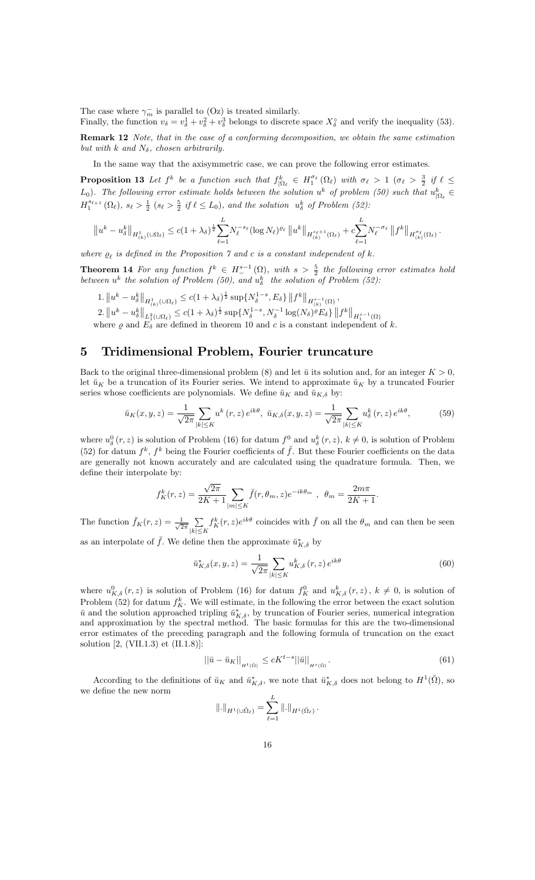The case where  $\gamma_m^-$  is parallel to  $(Oz)$  is treated similarly.

Finally, the function  $v_{\delta} = v_{\delta}^1 + v_{\delta}^2 + v_{\delta}^3$  belongs to discrete space  $X_{\delta}^{\circ}$  and verify the inequality (53).

Remark 12 Note, that in the case of a conforming decomposition, we obtain the same estimation but with k and  $N_{\delta}$ , chosen arbitrarily.

In the same way that the axisymmetric case, we can prove the following error estimates.

**Proposition 13** Let  $f^k$  be a function such that  $f_{|\Omega_\ell}^k \in H_1^{\sigma_\ell}(\Omega_\ell)$  with  $\sigma_\ell > 1$  ( $\sigma_\ell > \frac{3}{2}$  if  $\ell \leq$  $(L_0)$ . The following error estimate holds between the solution  $u^k$  of problem (50) such that  $u^k_{\vert \Omega_\ell} \in$  $H_1^{s_{\ell+1}}(\Omega_{\ell}), s_{\ell} > \frac{1}{2} \ (s_{\ell} > \frac{5}{2} \ if \ \ell \leq L_0), \ and \ the \ solution \ u_{\delta}^k \ of \ Problem \ (52):$ 

$$
\|u^k - u_\delta^k\|_{H^1_{(k)}(\cup\Omega_\ell)} \leq c(1+\lambda_\delta)^{\frac{1}{2}} \sum_{\ell=1}^L N_\ell^{-s_\ell} (\log N_\ell)^{\varrho_\ell} \|u^k\|_{H^{\frac{s_\ell+1}{k}}(\Omega_\ell)} + c \sum_{\ell=1}^L N_\ell^{-\sigma_\ell} \|f^k\|_{H^{\sigma_\ell}_{(k)}(\Omega_\ell)}.
$$

where  $\rho_{\ell}$  is defined in the Proposition 7 and c is a constant independent of k.

**Theorem 14** For any function  $f^k \in H^{s-1}(\Omega)$ , with  $s > \frac{5}{2}$  the following error estimates hold between  $u^k$  the solution of Problem (50), and  $u^k_\delta$  the solution of Problem (52):

 $1. \|u^k - u^k_\delta\|_{H^1_{(k)}(\cup\Omega_\ell)} \leq c(1+\lambda_\delta)^\frac{1}{2} \sup \{N_\delta^{1-s}, E_\delta\} \|f^k\|_{H^{s-1}_{(k)}(\Omega)},$ 

2.  $||u^k - u^k_{\delta}||_{L^2_1(\cup\Omega_\ell)} \leq c(1+\lambda_{\delta})^{\frac{1}{2}} \sup \{N_{\delta}^{1-s}, N_{\delta}^{-1} \log(N_{\delta})^{\rho} E_{\delta}\} ||f^k||_{H_1^{s-1}(\Omega)}$ <br>where  $\rho$  and  $E_{\delta}$  are defined in theorem 10 and c is a constant independent of k.

## 5 Tridimensional Problem, Fourier truncature

Back to the original three-dimensional problem (8) and let  $\check{u}$  its solution and, for an integer  $K > 0$ , let  $\check{u}_K$  be a truncation of its Fourier series. We intend to approximate  $\check{u}_K$  by a truncated Fourier series whose coefficients are polynomials. We define  $\check{u}_K$  and  $\check{u}_{K,\delta}$  by:

$$
\breve{u}_K(x,y,z) = \frac{1}{\sqrt{2\pi}} \sum_{|k| \le K} u^k(r,z) e^{ik\theta}, \ \breve{u}_{K,\delta}(x,y,z) = \frac{1}{\sqrt{2\pi}} \sum_{|k| \le K} u^k_{\delta}(r,z) e^{ik\theta},\tag{59}
$$

where  $u^0_\delta(r, z)$  is solution of Problem (16) for datum  $f^0$  and  $u^k_\delta(r, z)$ ,  $k \neq 0$ , is solution of Problem (52) for datum  $f^k$ ,  $f^k$  being the Fourier coefficients of  $\check{f}$ . But these Fourier coefficients on the data are generally not known accurately and are calculated using the quadrature formula. Then, we define their interpolate by:

$$
f_K^k(r, z) = \frac{\sqrt{2\pi}}{2K+1} \sum_{|m| \le K} \check{f}(r, \theta_m, z) e^{-ik\theta_m}, \ \ \theta_m = \frac{2m\pi}{2K+1}
$$

The function  $\check{f}_K(r,z) = \frac{1}{\sqrt{2}}$  $rac{1}{2\pi}$ <sub>1</sub>  $|k|\leq K$  $f_K^k(r, z)e^{ik\theta}$  coincides with  $\check{f}$  on all the  $\theta_m$  and can then be seen

as an interpolate of  $\check{f}$ . We define then the approximate  $\check{u}_{K,\delta}^*$  by

$$
\breve{u}_{K,\delta}^*(x,y,z) = \frac{1}{\sqrt{2\pi}} \sum_{|k| \le K} u_{K,\delta}^k(r,z) e^{ik\theta} \tag{60}
$$

:

where  $u_{K,\delta}^0(r,z)$  is solution of Problem (16) for datum  $f_K^0$  and  $u_{K,\delta}^k(r,z)$ ,  $k \neq 0$ , is solution of Problem (52) for datum  $f_K^k$ . We will estimate, in the following the error between the exact solution  $\check{u}$  and the solution approached tripling  $\check{u}_{K,\delta}^*$ , by truncation of Fourier series, numerical integration and approximation by the spectral method. The basic formulas for this are the two-dimensional error estimates of the preceding paragraph and the following formula of truncation on the exact solution [2, (VII.1.3) et (II.1.8)]:

$$
\left| \left| \check{u} - \check{u}_K \right| \right|_{H^t(\check{\Omega})} \le cK^{t-s} \|\check{u}\|_{H^s(\check{\Omega})}.
$$
\n
$$
(61)
$$

According to the definitions of  $\check{u}_K$  and  $\check{u}_{K,\delta}^*$ , we note that  $\check{u}_{K,\delta}^*$  does not belong to  $H^1(\check{\Omega})$ , so we define the new norm

$$
\|.\|_{H^1(\cup \check{\Omega}_{\ell})} = \sum_{\ell=1}^L \|.\|_{H^1(\check{\Omega}_{\ell})}.
$$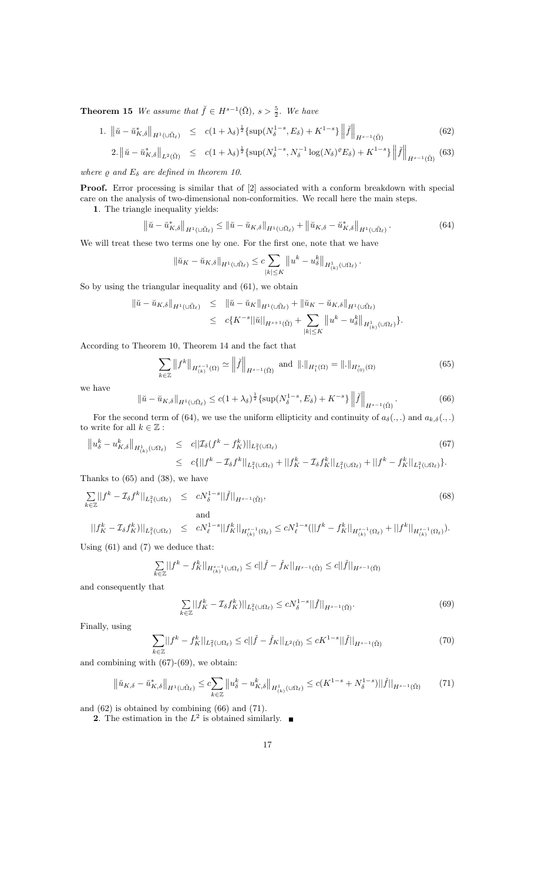**Theorem 15** We assume that  $\check{f} \in H^{s-1}(\check{\Omega}), s > \frac{5}{2}$ . We have

1. 
$$
\|\check{u} - \check{u}_{K,\delta}^*\|_{H^1(\cup \check{\Omega}_\ell)} \leq c(1+\lambda_\delta)^{\frac{1}{2}} \{\sup(N_\delta^{1-s}, E_\delta) + K^{1-s}\} \left\|\check{f}\right\|_{H^{s-1}(\check{\Omega})}
$$
 (62)

$$
2. \left\| \check{u} - \check{u}_{K,\delta}^* \right\|_{L^2(\check{\Omega})} \le c(1+\lambda_{\delta})^{\frac{1}{2}} \{ \sup(N_{\delta}^{1-s}, N_{\delta}^{-1} \log(N_{\delta})^{\varrho} E_{\delta}) + K^{1-s} \} \left\| \check{f} \right\|_{H^{s-1}(\check{\Omega})} (63)
$$

where  $\rho$  and  $E_{\delta}$  are defined in theorem 10.

Proof. Error processing is similar that of [2] associated with a conform breakdown with special care on the analysis of two-dimensional non-conformities. We recall here the main steps.

1. The triangle inequality yields:

$$
\left\|\check{u}-\check{u}_{K,\delta}^*\right\|_{H^1(\cup\tilde{\Omega}_{\ell})} \leq \left\|\check{u}-\check{u}_{K,\delta}\right\|_{H^1(\cup\tilde{\Omega}_{\ell})} + \left\|\check{u}_{K,\delta}-\check{u}_{K,\delta}^*\right\|_{H^1(\cup\tilde{\Omega}_{\ell})}.
$$
\n(64)

We will treat these two terms one by one. For the first one, note that we have

$$
\|\check{u}_K - \check{u}_{K,\delta}\|_{H^1(\cup \check{\Omega}_{\ell})} \leq c \sum_{|k| \leq K} \|u^k - u^k_{\delta}\|_{H^1_{(k)}(\cup \Omega_{\ell})}.
$$

So by using the triangular inequality and (61), we obtain

$$
\begin{array}{rcl}\n\|\check{u}-\check{u}_{K,\delta}\|_{H^1(\cup \check{\Omega}_{\ell})} & \leq & \|\check{u}-\check{u}_K\|_{H^1(\cup \check{\Omega}_{\ell})} + \|\check{u}_K - \check{u}_{K,\delta}\|_{H^1(\cup \check{\Omega}_{\ell})} \\
& \leq & c\{K^{-s}||\check{u}||_{H^{s+1}(\check{\Omega})} + \sum_{|k| \leq K} \|u^k - u^k_{\delta}\|_{H^1_{(k)}(\cup \Omega_{\ell})}\}.\n\end{array}
$$

According to Theorem 10, Theorem 14 and the fact that

$$
\sum_{k \in \mathbb{Z}} \|f^k\|_{H^{s-1}_{(k)}(\Omega)} \simeq \left\| \check{f} \right\|_{H^{s-1}(\check{\Omega})} \text{ and } \left\| . \right\|_{H^s_1(\Omega)} = \left\| . \right\|_{H^s_{(0)}(\Omega)} \tag{65}
$$

we have

$$
\left\|\check{u}-\check{u}_{K,\delta}\right\|_{H^1(\cup\check{\Omega}_\ell)} \le c(1+\lambda_\delta)^{\frac{1}{2}} \left\{\sup(N_\delta^{1-s},E_\delta)+K^{-s}\right\} \left\|\check{f}\right\|_{H^{s-1}(\check{\Omega})}.\tag{66}
$$

For the second term of (64), we use the uniform ellipticity and continuity of  $a_{\delta}(\cdot,\cdot)$  and  $a_{k,\delta}(\cdot,\cdot)$ to write for all  $k\in\mathbb{Z}$  :

$$
\|u_{\delta}^{k} - u_{K,\delta}^{k}\|_{H^{1}_{(k)}(\cup\Omega_{\ell})} \leq c||\mathcal{I}_{\delta}(f^{k} - f_{K}^{k})||_{L^{2}_{1}(\cup\Omega_{\ell})}
$$
\n
$$
\leq c\{||f^{k} - \mathcal{I}_{\delta}f^{k}||_{L^{2}_{1}(\cup\Omega_{\ell})} + ||f^{k}_{K} - \mathcal{I}_{\delta}f^{k}_{K}||_{L^{2}_{1}(\cup\Omega_{\ell})} + ||f^{k} - f^{k}_{K}||_{L^{2}_{1}(\cup\Omega_{\ell})}\}.
$$
\n(67)

Thanks to (65) and (38), we have

$$
\sum_{k \in \mathbb{Z}} ||f^k - \mathcal{I}_{\delta} f^k||_{L_1^2(\cup\Omega_\ell)} \leq cN_{\delta}^{1-s} ||\check{f}||_{H^{s-1}(\check{\Omega})},
$$
\n
$$
\text{and}
$$
\n
$$
||f_K^k - \mathcal{I}_{\delta} f_K^k||_{L_1^2(\cup\Omega_\ell)} \leq cN_{\ell}^{1-s} ||f_K^k||_{H^{s-1}(\Omega_\ell)} \leq cN_{\ell}^{1-s} (||f^k - f_K^k||_{H^{s-1}(\Omega_\ell)} + ||f^k||_{H^{s-1}(\Omega_\ell)}).
$$
\n
$$
(68)
$$

Using (61) and (7) we deduce that:

$$
\sum_{k \in \mathbb{Z}} ||f^k - f_K^k||_{H_{(k)}^{s-1}(\cup \Omega_\ell)} \le c ||\check{f} - \check{f}_K||_{H^{s-1}(\check{\Omega})} \le c ||\check{f}||_{H^{s-1}(\check{\Omega})}
$$

and consequently that

$$
\sum_{k \in \mathbb{Z}} ||f_K^k - \mathcal{I}_{\delta} f_K^k)||_{L_1^2(\cup \Omega_\ell)} \le c N_\delta^{1-s} ||\check{f}||_{H^{s-1}(\check{\Omega})}.
$$
\n(69)

Finally, using

$$
\sum_{k \in \mathbb{Z}} ||f^k - f^k_K||_{L^2_1(\cup \Omega_\ell)} \le c ||\check{f} - \check{f}_K||_{L^2(\check{\Omega})} \le cK^{1-s} ||\check{f}||_{H^{s-1}(\check{\Omega})}
$$
(70)

and combining with  $(67)-(69)$ , we obtain:

$$
\left\| \check{u}_{K,\delta} - \check{u}_{K,\delta}^* \right\|_{H^1(\cup \check{\Omega}_{\ell})} \leq c \sum_{k \in \mathbb{Z}} \left\| u_{\delta}^k - u_{K,\delta}^k \right\|_{H^1(\cup \Omega_{\ell})} \leq c (K^{1-s} + N_{\delta}^{1-s}) ||\check{f}||_{H^{s-1}(\check{\Omega})}
$$
(71)

and (62) is obtained by combining (66) and (71).

**2**. The estimation in the  $L^2$  is obtained similarly.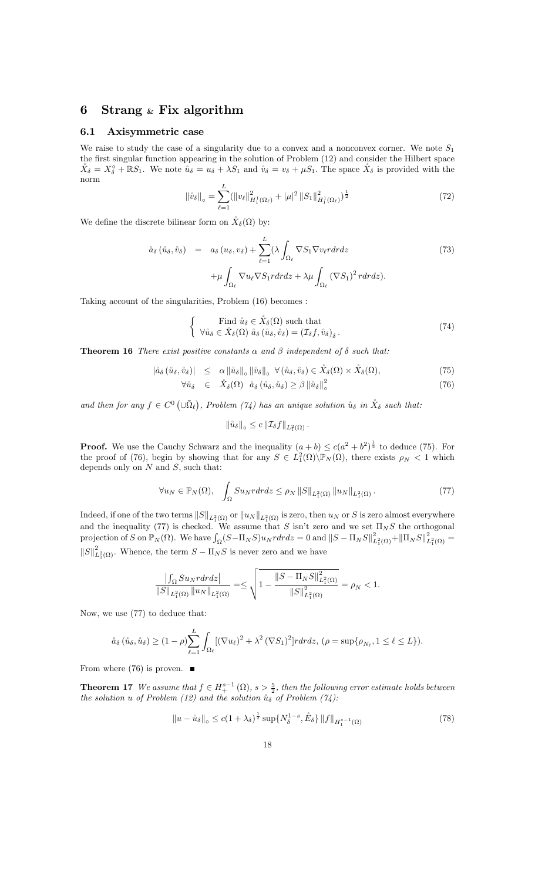## 6 Strang  $\&$  Fix algorithm

### 6.1 Axisymmetric case

We raise to study the case of a singularity due to a convex and a nonconvex corner. We note  $S_1$ the first singular function appearing in the solution of Problem (12) and consider the Hilbert space  $\mathring{X}_{\delta} = X_{\delta}^{\diamond} + \mathbb{R}S_1$ . We note  $\mathring{u}_{\delta} = u_{\delta} + \lambda S_1$  and  $\mathring{v}_{\delta} = v_{\delta} + \mu S_1$ . The space  $\mathring{X}_{\delta}$  is provided with the norm

$$
\left\|\mathring{v}_{\delta}\right\|_{\circ} = \sum_{\ell=1}^{L} (\left\|v_{\ell}\right\|_{H_1^1(\Omega_{\ell})}^2 + |\mu|^2 \left\|S_1\right\|_{H_1^1(\Omega_{\ell})}^2)^{\frac{1}{2}} \tag{72}
$$

We define the discrete bilinear form on  $\mathring{X}_{\delta}(\Omega)$  by:

$$
\hat{a}_{\delta} (\hat{u}_{\delta}, \hat{v}_{\delta}) = a_{\delta} (u_{\delta}, v_{\delta}) + \sum_{\ell=1}^{L} (\lambda \int_{\Omega_{\ell}} \nabla S_{1} \nabla v_{\ell} r dr dz + \mu \int_{\Omega_{\ell}} (\nabla S_{1})^{2} r dr dz).
$$
\n(73)

Taking account of the singularities, Problem (16) becomes :

$$
\begin{cases}\n\text{Find } \mathring{u}_{\delta} \in \mathring{X}_{\delta}(\Omega) \text{ such that} \\
\forall \mathring{u}_{\delta} \in \mathring{X}_{\delta}(\Omega) \ \mathring{a}_{\delta} \ (\mathring{u}_{\delta}, \mathring{v}_{\delta}) = (\mathcal{I}_{\delta}f, \mathring{v}_{\delta})_{\delta} \,.\n\end{cases} \tag{74}
$$

**Theorem 16** There exist positive constants  $\alpha$  and  $\beta$  independent of  $\delta$  such that:

$$
|\mathring{a}_{\delta}(\mathring{u}_{\delta},\mathring{v}_{\delta})| \leq \alpha \|\mathring{u}_{\delta}\|_{\circ} \|\mathring{v}_{\delta}\|_{\circ} \ \forall (\mathring{u}_{\delta},\mathring{v}_{\delta}) \in \mathring{X}_{\delta}(\Omega) \times \mathring{X}_{\delta}(\Omega), \tag{75}
$$

$$
\forall \mathring{u}_{\delta} \in \mathring{X}_{\delta}(\Omega) \quad \mathring{a}_{\delta}(\mathring{u}_{\delta}, \mathring{u}_{\delta}) \ge \beta \left\| \mathring{u}_{\delta} \right\|_{\circ}^{2} \tag{76}
$$

and then for any  $f \in C^0(\cup \bar{\Omega}_\ell)$ , Problem (74) has an unique solution  $\mathring{u}_\delta$  in  $\mathring{X}_\delta$  such that:

$$
\|\mathring{u}_{\delta}\|_{\circ} \leq c \left\|\mathcal{I}_{\delta}f\right\|_{L_1^2(\Omega)}.
$$

**Proof.** We use the Cauchy Schwarz and the inequality  $(a + b) \leq c(a^2 + b^2)^{\frac{1}{2}}$  to deduce (75). For the proof of (76), begin by showing that for any  $S \in L_1^2(\Omega) \backslash \mathbb{P}_N(\Omega)$ , there exists  $\rho_N < 1$  which depends only on  $N$  and  $S$ , such that:

$$
\forall u_N \in \mathbb{P}_N(\Omega), \quad \int_{\Omega} S u_N r dr dz \le \rho_N \left\| S \right\|_{L_1^2(\Omega)} \left\| u_N \right\|_{L_1^2(\Omega)}.
$$
\n
$$
(77)
$$

Indeed, if one of the two terms  $\|S\|_{L^2_1(\Omega)}$  or  $\|u_N\|_{L^2_1(\Omega)}$  is zero, then  $u_N$  or  $S$  is zero almost everywhere and the inequality (77) is checked. We assume that S isn't zero and we set  $\Pi_{N}S$  the orthogonal projection of S on  $\mathbb{P}_N(\Omega)$ . We have  $\int_{\Omega} (S - \Pi_N S) u_N r dr dz = 0$  and  $||S - \Pi_N S||^2_{L_1^2(\Omega)} + ||\Pi_N S||^2_{L_1^2(\Omega)} =$  $||S||^2_{L_1^2(\Omega)}$ . Whence, the term  $S - \Pi_N S$  is never zero and we have

$$
\frac{\left|\int_{\Omega}Su_Nrdrdz\right|}{\|S\|_{L^2_1(\Omega)}\left\|u_N\right\|_{L^2_1(\Omega)}}=\leq \sqrt{1-\frac{\left\|S-\Pi_NS\right\|_{L^2_1(\Omega)}^2}{\|S\|_{L^2_1(\Omega)}^2}}=\rho_N<1.
$$

Now, we use (77) to deduce that:

$$
\mathring{a}_{\delta}\left(\mathring{u}_{\delta},\mathring{u}_{\delta}\right) \geq (1-\rho)\sum_{\ell=1}^{L}\int_{\Omega_{\ell}}[(\nabla u_{\ell})^{2} + \lambda^{2}(\nabla S_{1})^{2}]r dr dz, \, (\rho = \sup\{\rho_{N_{\ell}}, 1 \leq \ell \leq L\}).
$$

From where  $(76)$  is proven.  $\blacksquare$ 

**Theorem 17** We assume that  $f \in H^{s-1}_+(\Omega)$ ,  $s > \frac{5}{2}$ , then the following error estimate holds between the solution u of Problem (12) and the solution  $\tilde{u}_{\delta}$  of Problem (74):

$$
||u - \mathring{u}_{\delta}||_{\circ} \le c(1 + \lambda_{\delta})^{\frac{1}{2}} \sup \{ N_{\delta}^{1-s}, \mathring{E}_{\delta} \} ||f||_{H_{1}^{s-1}(\Omega)}
$$
(78)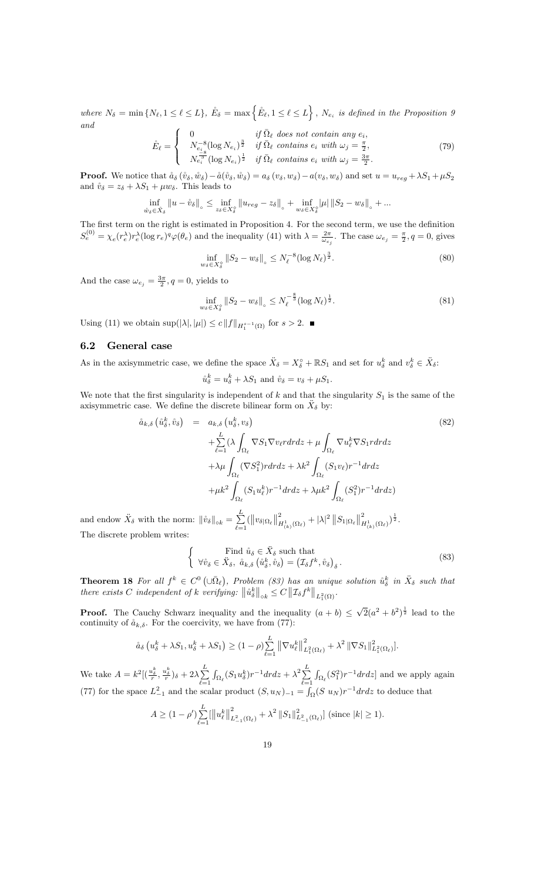where  $N_{\delta} = \min \{ N_{\ell}, 1 \leq \ell \leq L \}, \ \mathring{E}_{\delta} = \max \{ \mathring{E}_{\ell}, 1 \leq \ell \leq L \}, \ N_{e_i} \text{ is defined in the Proposition 9}$ and

$$
\tilde{E}_{\ell} = \begin{cases}\n0 & \text{if } \bar{\Omega}_{\ell} \text{ does not contain any } e_i, \\
N_{e_i}^{-8} (\log N_{e_i})^{\frac{3}{2}} & \text{if } \bar{\Omega}_{\ell} \text{ contains } e_i \text{ with } \omega_j = \frac{\pi}{2}, \\
N_{e_i}^{-8} (\log N_{e_i})^{\frac{1}{2}} & \text{if } \bar{\Omega}_{\ell} \text{ contains } e_i \text{ with } \omega_j = \frac{3\pi}{2}.\n\end{cases}
$$
\n(79)

**Proof.** We notice that  $\hat{a}_{\delta}(\hat{v}_{\delta}, \hat{w}_{\delta}) - \hat{a}(\hat{v}_{\delta}, \hat{w}_{\delta}) = a_{\delta}(v_{\delta}, w_{\delta}) - a(v_{\delta}, w_{\delta})$  and set  $u = u_{reg} + \lambda S_1 + \mu S_2$ and  $\mathring{v}_{\delta} = z_{\delta} + \lambda S_1 + \mu w_{\delta}$ . This leads to

$$
\inf_{\mathring{w}_{\delta}\in \mathring{X}_{\delta}}\left\|u-\mathring{v}_{\delta}\right\|_{\diamond}\leq \inf_{z_{\delta}\in X_{\delta}^{\diamond}}\left\|u_{reg}-z_{\delta}\right\|_{\diamond}+\inf_{w_{\delta}\in X_{\delta}^{\diamond}}\left|\mu\right|\left\|S_2-w_{\delta}\right\|_{\diamond}+...
$$

The first term on the right is estimated in Proposition 4. For the second term, we use the definition  $S_e^{(0)} = \chi_e(r_e^{\lambda}) r_e^{\lambda} (\log r_e)^q \varphi(\theta_e)$  and the inequality (41) with  $\lambda = \frac{2\pi}{\omega_{e_j}}$ . The case  $\omega_{e_j} = \frac{\pi}{2}$ ,  $q = 0$ , gives

$$
\inf_{w_{\delta} \in X_{\delta}^{\circ}} \|S_2 - w_{\delta}\|_{\circ} \le N_{\ell}^{-8} (\log N_{\ell})^{\frac{3}{2}}.
$$
\n(80)

And the case  $\omega_{e_j} = \frac{3\pi}{2}, q = 0$ , yields to

$$
\inf_{w_{\delta} \in X_{\delta}^{\circ}} \|S_2 - w_{\delta}\|_{\circ} \le N_{\ell}^{-\frac{8}{3}} (\log N_{\ell})^{\frac{1}{2}}.
$$
\n(81)

Using (11) we obtain  $\sup(|\lambda|, |\mu|) \le c \|f\|_{H_1^{s-1}(\Omega)}$  for  $s > 2$ .

### 6.2 General case

As in the axisymmetric case, we define the space  $\ddot{X}_{\delta} = X_{\delta}^{\circ} + \mathbb{R}S_1$  and set for  $u_{\delta}^k$  and  $v_{\delta}^k \in \ddot{X}_{\delta}$ :

$$
\mathring{u}_{\delta}^k = u_{\delta}^k + \lambda S_1 \text{ and } \mathring{v}_{\delta} = v_{\delta} + \mu S_1.
$$

We note that the first singularity is independent of  $k$  and that the singularity  $S_1$  is the same of the axisymmetric case. We define the discrete bilinear form on  $\ddot{X}_{\delta}$  by:

$$
\hat{a}_{k,\delta} \left( \hat{u}_{\delta}^{k}, \hat{v}_{\delta} \right) = a_{k,\delta} \left( u_{\delta}^{k}, v_{\delta} \right)
$$
\n
$$
+ \sum_{\ell=1}^{L} \left( \lambda \int_{\Omega_{\ell}} \nabla S_{1} \nabla v_{\ell} r dr dz + \mu \int_{\Omega_{\ell}} \nabla u_{\ell}^{k} \nabla S_{1} r dr dz + \lambda \mu \int_{\Omega_{\ell}} (\nabla S_{1}^{2}) r dr dz + \lambda \mu \int_{\Omega_{\ell}} (\nabla S_{1}^{2}) r dr dz + \lambda k^{2} \int_{\Omega_{\ell}} (S_{1} v_{\ell}) r^{-1} dr dz + \mu k^{2} \int_{\Omega_{\ell}} (S_{1}^{2}) r^{-1} dr dz \right)
$$
\n
$$
\delta \text{ with the norm: } \|\hat{v}_{\delta}\|_{\text{ok}} = \sum_{\ell=1}^{L} (\|v_{\delta}|\Omega_{\ell}\|_{H^{1}_{(k)}(\Omega_{\ell})}^{2} + |\lambda|^{2} \|S_{1}|\Omega_{\ell}\|_{H^{1}_{(k)}(\Omega_{\ell})}^{2})^{\frac{1}{2}}.
$$
\n(82)

and endow  $\ddot{X}_{\delta}$  $_{\ell=1}$ The discrete problem writes:

$$
\begin{cases}\n\text{Find } \mathring{u}_{\delta} \in \ddot{X}_{\delta} \text{ such that} \\
\forall \mathring{v}_{\delta} \in \ddot{X}_{\delta}, \ \mathring{u}_{k,\delta} \left(\mathring{u}_{\delta}^{k}, \mathring{v}_{\delta}\right) = \left(\mathcal{I}_{\delta} f^{k}, \mathring{v}_{\delta}\right)_{\delta}.\n\end{cases} \tag{83}
$$

**Theorem 18** For all  $f^k \in C^0$   $(\cup \overline{\Omega}_{\ell})$ , Problem (83) has an unique solution  $\mathring{u}_{\delta}^k$  in  $\ddot{X}_{\delta}$  such that there exists C independent of k verifying:  $\|\hat{u}_{\delta}^{k}\|_{\text{o}_k} \leq C \|\mathcal{I}_{\delta}f^{k}\|_{L_1^2(\Omega)}$ .

**Proof.** The Cauchy Schwarz inequality and the inequality  $(a + b) \leq \sqrt{2}(a^2 + b^2)^{\frac{1}{2}}$  lead to the continuity of  $\aa_{k,\delta}$ . For the coercivity, we have from (77):

$$
\mathring{a}_{\delta}\left(u_{\delta}^{k}+\lambda S_{1}, u_{\delta}^{k}+\lambda S_{1}\right) \geq (1-\rho)\sum_{\ell=1}^{L}\left\|\nabla u_{\ell}^{k}\right\|^{2}_{L_{1}^{2}(\Omega_{\ell})}+\lambda^{2}\left\|\nabla S_{1}\right\|^{2}_{L_{1}^{2}(\Omega_{\ell})}.
$$

We take  $A = k^2 \left[ \left( \frac{u_{\delta}^k}{r}, \frac{u_{\delta}^k}{r} \right)_{\delta} + 2\lambda \sum_{i=1}^L \right]$  $_{\ell=1}$  $\int_{\Omega_\ell} (S_1 u_\delta^k) r^{-1} dr dz + \lambda^2 \sum_{\ell=1}^L$  $_{\ell=1}$  $\int_{\Omega_{\ell}} (S_1^2) r^{-1} dr dz$  and we apply again (77) for the space  $L_{-1}^2$  and the scalar product  $(S, u_N)_{-1} = \int_{\Omega} (S u_N) r^{-1} dr dz$  to deduce that

$$
A \ge (1 - \rho') \sum_{\ell=1}^{L} \left\| u_{\ell}^{k} \right\|_{L_{-1}^{2}(\Omega_{\ell})}^{2} + \lambda^{2} \left\| S_{1} \right\|_{L_{-1}^{2}(\Omega_{\ell})}^{2} \right\}
$$
 (since  $|k| \ge 1$ ).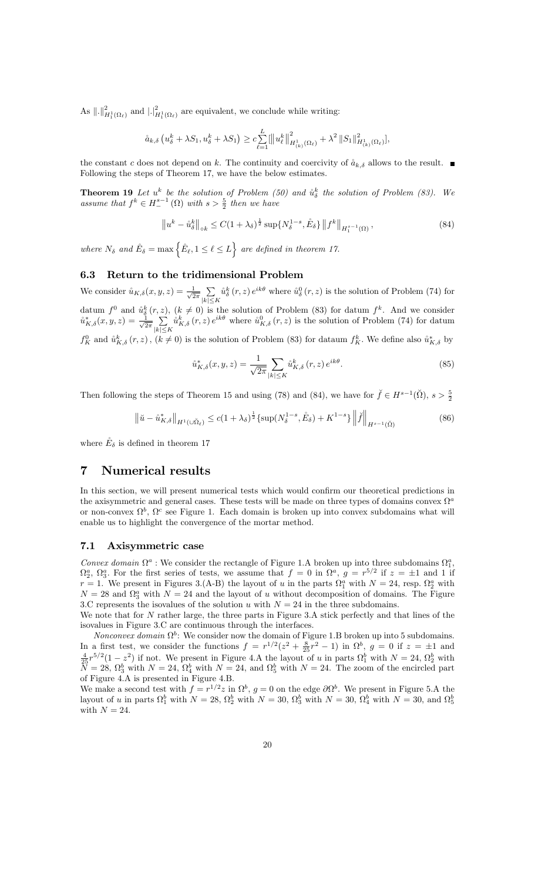As  $\|\cdot\|_{H_1^1(\Omega_\ell)}^2$  and  $|\cdot|_{H_1^1(\Omega_\ell)}^2$  are equivalent, we conclude while writing:

$$
\mathring{a}_{k,\delta} \left( u_{\delta}^{k} + \lambda S_{1}, u_{\delta}^{k} + \lambda S_{1} \right) \geq c \sum_{\ell=1}^{L} \left[ \left\| u_{\ell}^{k} \right\|_{H_{(k)}^{1}(\Omega_{\ell})}^{2} + \lambda^{2} \left\| S_{1} \right\|_{H_{(k)}^{1}(\Omega_{\ell})}^{2} \right],
$$

the constant c does not depend on k. The continuity and coercivity of  $\hat{a}_{k,\delta}$  allows to the result. Following the steps of Theorem 17, we have the below estimates.

**Theorem 19** Let  $u^k$  be the solution of Problem (50) and  $\hat{u}^k_{\delta}$  the solution of Problem (83). We assume that  $f^k \in H^{s-1}(\Omega)$  with  $s > \frac{5}{2}$  then we have

$$
\left\|u^{k}-\mathring{u}_{\delta}^{k}\right\|_{\text{ok}} \leq C(1+\lambda_{\delta})^{\frac{1}{2}}\sup\{N_{\delta}^{1-s},\mathring{E}_{\delta}\}\left\|f^{k}\right\|_{H_{1}^{s-1}(\Omega)},\tag{84}
$$

where  $N_{\delta}$  and  $\mathring{E}_{\delta} = \max \left\{ \mathring{E}_{\ell}, 1 \leq \ell \leq L \right\}$  are defined in theorem 17.

## 6.3 Return to the tridimensional Problem

We consider  $\mathring{u}_{K,\delta}(x,y,z) = \frac{1}{\sqrt{2}}$  $rac{1}{2\pi}$ <sub>1</sub>  $|k| \leq K$  $\hat{u}_{\delta}^{k}(r, z) e^{ik\theta}$  where  $\hat{u}_{\delta}^{0}(r, z)$  is the solution of Problem (74) for datum  $f^0$  and  $\mathring{u}^k_{\delta}(r,z)$ ,  $(k \neq 0)$  is the solution of Problem (83) for datum  $f^k$ . And we consider  $\mathring{u}_{K,\delta}^*(x,y,z) = \frac{1}{\sqrt{2}}$  $\frac{1}{2\pi}$   $\sum$  $|k| \leq K$  $\mathring{u}_{K,\delta}^k(r,z) e^{ik\theta}$  where  $\mathring{u}_{K,\delta}^0(r,z)$  is the solution of Problem (74) for datum  $f_K^0$  and  $\mathring{u}_{K,\delta}^k(r,z)$ ,  $(k \neq 0)$  is the solution of Problem (83) for dataum  $f_K^k$ . We define also  $\mathring{u}_{K,\delta}^*$  by

$$
\mathring{u}_{K,\delta}^*(x,y,z) = \frac{1}{\sqrt{2\pi}} \sum_{|k| \le K} \mathring{u}_{K,\delta}^k(r,z) e^{ik\theta}.
$$
 (85)

Then following the steps of Theorem 15 and using (78) and (84), we have for  $\check{f} \in H^{s-1}(\check{\Omega})$ ,  $s > \frac{5}{2}$ 

$$
\left\| \check{u} - \mathring{u}_{K,\delta}^* \right\|_{H^1(\cup \check{\Omega}_{\ell})} \le c(1 + \lambda_{\delta})^{\frac{1}{2}} \{ \sup(N_{\delta}^{1-s}, \mathring{E}_{\delta}) + K^{1-s} \} \left\| \mathring{f} \right\|_{H^{s-1}(\check{\Omega})}
$$
(86)

where  $\mathring{E}_{\delta}$  is defined in theorem 17

### 7 Numerical results

In this section, we will present numerical tests which would confirm our theoretical predictions in the axisymmetric and general cases. These tests will be made on three types of domains convex  $\Omega^a$ or non-convex  $\Omega^b$ ,  $\Omega^c$  see Figure 1. Each domain is broken up into convex subdomains what will enable us to highlight the convergence of the mortar method.

### 7.1 Axisymmetric case

Convex domain  $\Omega^a$ : We consider the rectangle of Figure 1.A broken up into three subdomains  $\Omega_1^a$ ,  $\Omega_2^a$ ,  $\Omega_3^a$ . For the first series of tests, we assume that  $f = 0$  in  $\Omega^a$ ,  $g = r^{5/2}$  if  $z = \pm 1$  and 1 if  $r = 1$ . We present in Figures 3.(A-B) the layout of u in the parts  $\Omega_1^a$  with  $N = 24$ , resp.  $\Omega_2^a$  with  $N = 28$  and  $\Omega_3^a$  with  $N = 24$  and the layout of u without decomposition of domains. The Figure 3.C represents the isovalues of the solution u with  $N = 24$  in the three subdomains.

We note that for  $N$  rather large, the three parts in Figure 3.A stick perfectly and that lines of the isovalues in Figure 3.C are continuous through the interfaces.

Nonconvex domain  $\Omega^b$ : We consider now the domain of Figure 1.B broken up into 5 subdomains. In a first test, we consider the functions  $f = r^{1/2}(z^2 + \frac{8}{25}r^2 - 1)$  in  $\Omega^b$ ,  $g = 0$  if  $z = \pm 1$  and  $\frac{4}{25}r^{5/2}(1-z^2)$  if not. We present in Figure 4.A the layout of u in parts  $\Omega_1^b$  with  $N = 24$ ,  $\Omega_2^b$  with  $\overline{N} = 28$ ,  $\Omega_3^b$  with  $N = 24$ ,  $\Omega_4^b$  with  $N = 24$ , and  $\Omega_5^b$  with  $N = 24$ . The zoom of the encircled part of Figure 4.A is presented in Figure 4.B.

We make a second test with  $f = r^{1/2} z$  in  $\Omega^b$ ,  $g = 0$  on the edge  $\partial \Omega^b$ . We present in Figure 5.A the layout of u in parts  $\Omega_1^b$  with  $N = 28$ ,  $\Omega_2^b$  with  $N = 30$ ,  $\Omega_3^b$  with  $N = 30$ ,  $\Omega_4^b$  with  $N = 30$ , and  $\Omega_5^b$ with  $N = 24$ .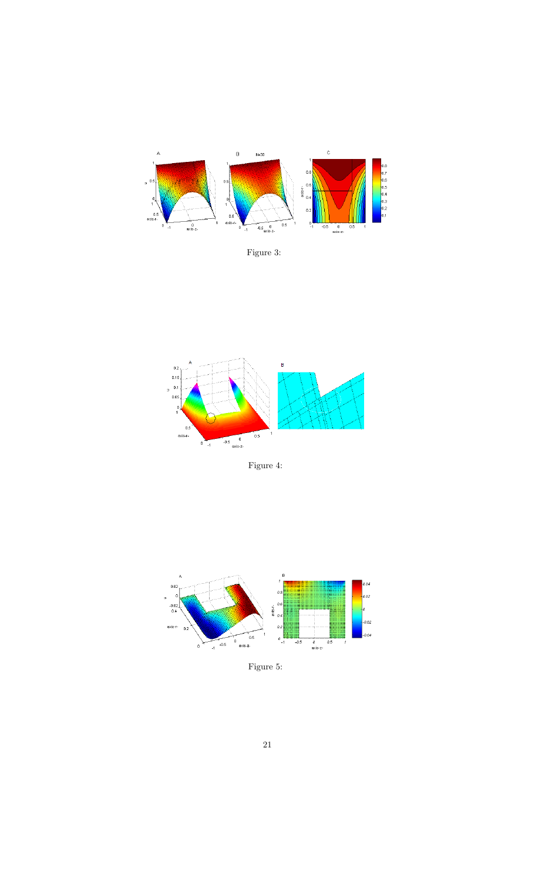

Figure 3:



Figure 4:



Figure 5: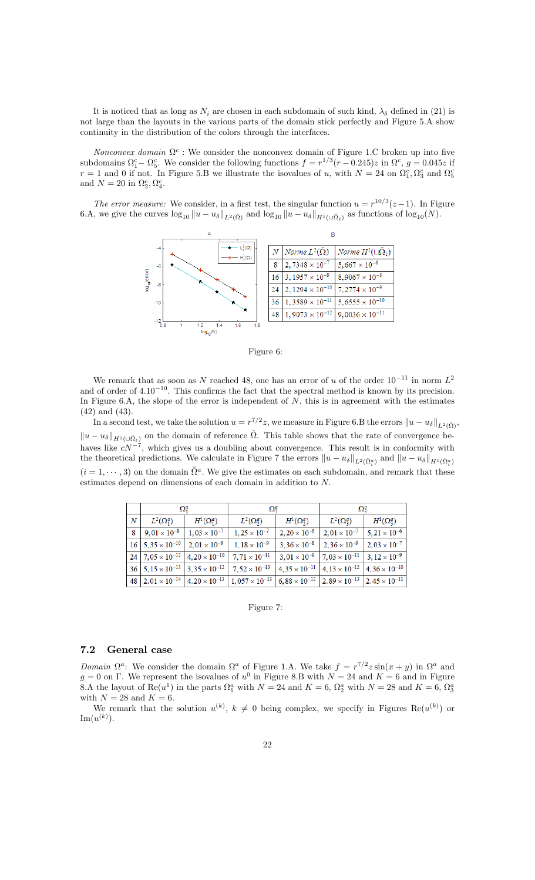It is noticed that as long as  $N_i$  are chosen in each subdomain of such kind,  $\lambda_{\delta}$  defined in (21) is not large than the layouts in the various parts of the domain stick perfectly and Figure 5.A show continuity in the distribution of the colors through the interfaces.

Nonconvex domain  $\Omega^c$ : We consider the nonconvex domain of Figure 1.C broken up into five subdomains  $\Omega_1^c - \Omega_5^c$ . We consider the following functions  $f = r^{1/3}(r - 0.245)z$  in  $\Omega^c$ ,  $g = 0.045z$  if  $r = 1$  and 0 if not. In Figure 5.B we illustrate the isovalues of u, with  $N = 24$  on  $\Omega_1^c, \Omega_3^c$  and  $\Omega_5^c$ and  $N = 20$  in  $\Omega_2^c, \Omega_4^c$ .

The error measure: We consider, in a first test, the singular function  $u = r^{10/3}(z-1)$ . In Figure 6.A, we give the curves  $\log_{10} \|u - u_{\delta}\|_{L^2(\check{\Omega})}$  and  $\log_{10} \|u - u_{\delta}\|_{H^1(\cup \check{\Omega}_{\ell})}$  as functions of  $\log_{10}(N)$ .



Figure 6:

We remark that as soon as N reached 48, one has an error of u of the order  $10^{-11}$  in norm  $L^2$ and of order of  $4.10^{-10}$ . This confirms the fact that the spectral method is known by its precision. In Figure 6.A, the slope of the error is independent of  $N$ , this is in agreement with the estimates (42) and (43).

In a second test, we take the solution  $u = r^{7/2}z$ , we measure in Figure 6.B the errors  $||u - u_{\delta}||_{L^{2}(\breve{\Omega})}$ ,  $||u - u_{\delta}||_{H^1(\cup \tilde{\Omega}_{\ell})}$  on the domain of reference  $\tilde{\Omega}$ . This table shows that the rate of convergence behaves like  $cN^{-7}$ , which gives us a doubling about convergence. This result is in conformity with the theoretical predictions. We calculate in Figure 7 the errors  $||u - u_{\delta}||_{L^2(\check{\Omega}_i^a)}$  and  $||u - u_{\delta}||_{H^1(\check{\Omega}_i^a)}$  $(i = 1, \dots, 3)$  on the domain  $\check{\Omega}^a$ . We give the estimates on each subdomain, and remark that these estimates depend on dimensions of each domain in addition to N:

|            | $\Omega^a_1$                        |                       | $\Omega_2^a$                                                                                                                                              |                   | $\Omega_3^a$                                                           |                       |
|------------|-------------------------------------|-----------------------|-----------------------------------------------------------------------------------------------------------------------------------------------------------|-------------------|------------------------------------------------------------------------|-----------------------|
| $_{\it N}$ | $L^2(\Omega_1^a)$                   | $H^1(\Omega_1^a)$     | $L^2(\Omega_2^a)$                                                                                                                                         | $H^1(\Omega_2^a)$ | $L^2(\Omega_3^a)$                                                      | $H^1(\Omega_3^a)$     |
| 8          | $9,01 \times 10^{-8}$               | $1,03 \times 10^{-7}$ | $1,25 \times 10^{-7}$                                                                                                                                     |                   | $2,20 \times 10^{-6}$ 2,01 $\times 10^{-7}$                            | $5,21 \times 10^{-6}$ |
|            | $16 \mid 5,35 \times 10^{-10} \mid$ | $2,01 \times 10^{-9}$ | $1,18 \times 10^{-9}$                                                                                                                                     |                   | $3,36 \times 10^{-8}$ 2,36 $\times 10^{-9}$                            | $2,03 \times 10^{-7}$ |
|            |                                     |                       | 24 7,05 $\times$ 10 <sup>-12</sup> 4,20 $\times$ 10 <sup>-10</sup> 7,71 $\times$ 10 <sup>-11</sup>                                                        |                   | $3.01 \times 10^{-9}$ 7.03 $\times 10^{-11}$ 3.12 $\times 10^{-9}$     |                       |
|            |                                     |                       | 36 $5,15 \times 10^{-13}$ 3,35 $\times 10^{-12}$ 7,52 $\times 10^{-13}$                                                                                   |                   | $4,35 \times 10^{-11}$ 4, $13 \times 10^{-12}$ 4, $36 \times 10^{-10}$ |                       |
|            |                                     |                       | 48 2.01 × 10 <sup>-14</sup> 4.20 × 10 <sup>-13</sup> 1.057 × 10 <sup>-13</sup> 6.88 × 10 <sup>-12</sup> 2.89 × 10 <sup>-13</sup> 2.45 × 10 <sup>-11</sup> |                   |                                                                        |                       |

#### Figure 7:

### 7.2 General case

Domain  $\Omega^a$ : We consider the domain  $\Omega^a$  of Figure 1.A. We take  $f = r^{7/2} z \sin(x + y)$  in  $\Omega^a$  and  $g = 0$  on  $\Gamma$ . We represent the isovalues of  $u^0$  in Figure 8.B with  $N = 24$  and  $K = 6$  and in Figure 8.A the layout of  $\text{Re}(u^1)$  in the parts  $\Omega_1^a$  with  $N = 24$  and  $K = 6$ ,  $\Omega_2^a$  with  $N = 28$  and  $K = 6$ ,  $\Omega_3^a$ with  $N = 28$  and  $K = 6$ .

We remark that the solution  $u^{(k)}$ ,  $k \neq 0$  being complex, we specify in Figures Re $(u^{(k)})$  or  $\mathrm{Im}(u^{(k)}).$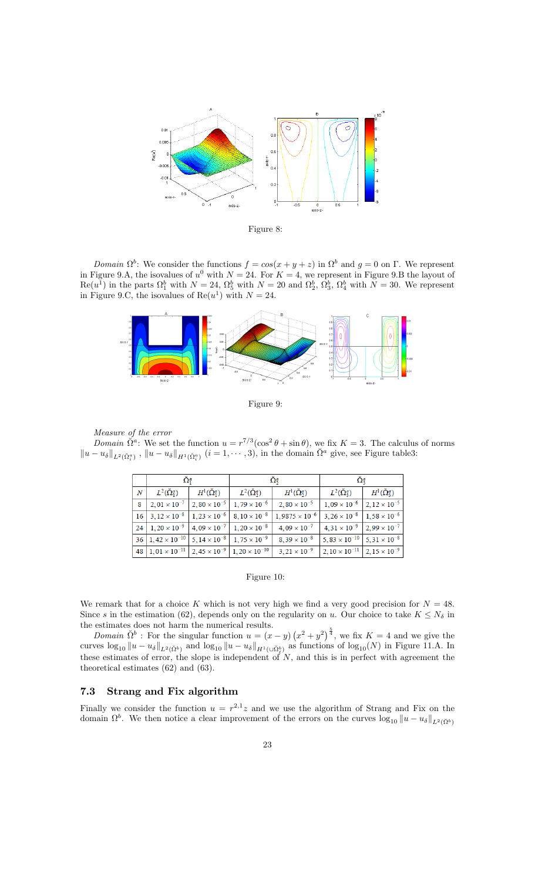

Figure 8:

Domain  $\Omega^b$ : We consider the functions  $f = cos(x + y + z)$  in  $\Omega^b$  and  $g = 0$  on  $\Gamma$ . We represent in Figure 9.A, the isovalues of  $u^0$  with  $N = 24$ . For  $K = 4$ , we represent in Figure 9.B the layout of  $\text{Re}(u^1)$  in the parts  $\Omega_1^b$  with  $N = 24$ ,  $\Omega_5^b$  with  $N = 20$  and  $\Omega_2^b$ ,  $\Omega_3^b$ ,  $\Omega_4^b$  with  $N = 30$ . We represent in Figure 9.C, the isovalues of  $\text{Re}(u^1)$  with  $N = 24$ .



Figure 9:

Measure of the error

Domain  $\tilde{\Omega}^a$ : We set the function  $u = r^{7/3}(\cos^2\theta + \sin\theta)$ , we fix  $K = 3$ . The calculus of norms  $||u - u_{\delta}||_{L^2(\check{\Omega}_i^a)}$ ,  $||u - u_{\delta}||_{H^1(\check{\Omega}_i^a)}$   $(i = 1, \dots, 3)$ , in the domain  $\check{\Omega}^a$  give, see Figure table3:

|                  | $\Omega_1^a$                                                                    |                           | $\Omega_2^a$                                                          |                                                                                                    | $\Omega^a_3$                                  |                                             |
|------------------|---------------------------------------------------------------------------------|---------------------------|-----------------------------------------------------------------------|----------------------------------------------------------------------------------------------------|-----------------------------------------------|---------------------------------------------|
| $\boldsymbol{N}$ | $L^2(\tilde{\Omega}_1^a)$                                                       | $H^1(\check{\Omega}_1^a)$ | $L^2(\check{\Omega}_2^a)$                                             | $H^1(\check{\Omega}_2^a)$                                                                          | $L^2(\check{\Omega}_3^a)$                     | $H^1(\check{\Omega}_3^a)$                   |
| 8                |                                                                                 |                           | $2,01 \times 10^{-7}$   $2,80 \times 10^{-5}$   $1,79 \times 10^{-6}$ | $2,80 \times 10^{-5}$                                                                              | $1,09 \times 10^{-6}$ 2, $12 \times 10^{-5}$  |                                             |
|                  | $16 \mid 3,12 \times 10^{-8} \mid 1,23 \times 10^{-6} \mid 8,10 \times 10^{-8}$ |                           |                                                                       | $1,9875 \times 10^{-6}$                                                                            |                                               | $3.26 \times 10^{-8}$ 1.58 $\times 10^{-6}$ |
|                  |                                                                                 |                           |                                                                       | 24   $1,20 \times 10^{-9}$   $4,09 \times 10^{-7}$   $1,20 \times 10^{-8}$   $4,09 \times 10^{-7}$ | $4.31 \times 10^{-9}$ 2.99 $\times 10^{-7}$   |                                             |
|                  | 36   $1,42 \times 10^{-10}$   $5,14 \times 10^{-8}$   $1,75 \times 10^{-9}$     |                           |                                                                       | $8,39 \times 10^{-8}$                                                                              | $5,83 \times 10^{-10}$ 5, $31 \times 10^{-8}$ |                                             |
|                  | 48   $1,01 \times 10^{-11}$   $2,45 \times 10^{-9}$   $1,20 \times 10^{-10}$    |                           |                                                                       | $3,21 \times 10^{-9}$                                                                              | $2,10 \times 10^{-11}$ 2, $15 \times 10^{-9}$ |                                             |

#### Figure 10:

We remark that for a choice K which is not very high we find a very good precision for  $N = 48$ . Since s in the estimation (62), depends only on the regularity on u. Our choice to take  $K \leq N_{\delta}$  in the estimates does not harm the numerical results.

*Domain*  $\check{\Omega}^b$ : For the singular function  $u = (x - y) (x^2 + y^2)^{\frac{5}{4}}$ , we fix  $K = 4$  and we give the curves  $\log_{10} \|u - u_{\delta}\|_{L^2(\tilde{\Omega}^b)}$  and  $\log_{10} \|u - u_{\delta}\|_{H^1(\cup \tilde{\Omega}_{\ell}^b)}$  as functions of  $\log_{10}(N)$  in Figure 11.A. In these estimates of error, the slope is independent of  $N$ , and this is in perfect with agreement the theoretical estimates (62) and (63).

### 7.3 Strang and Fix algorithm

Finally we consider the function  $u = r^{2,1}z$  and we use the algorithm of Strang and Fix on the domain  $\Omega^b$ . We then notice a clear improvement of the errors on the curves  $\log_{10} ||u - u_{\delta}||_{L^2(\tilde{\Omega}^b)}$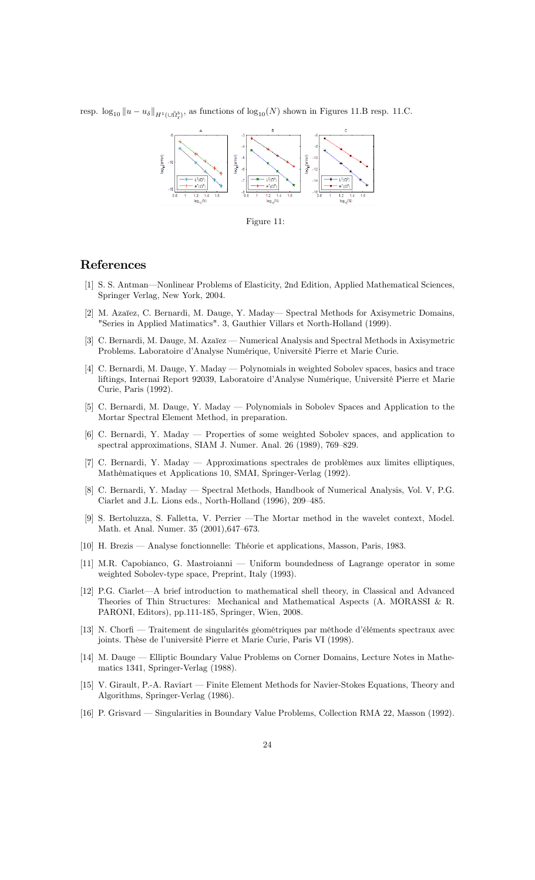resp.  $\log_{10} \| u - u_{\delta} \|_{H^1(\cup \check{\Omega}_{\ell}^b)}$ , as functions of  $\log_{10}(N)$  shown in Figures 11.B resp. 11.C.



Figure 11:

## References

- [1] S. S. Antman—Nonlinear Problems of Elasticity, 2nd Edition, Applied Mathematical Sciences, Springer Verlag, New York, 2004.
- [2] M. Azaïez, C. Bernardi, M. Dauge, Y. Maday— Spectral Methods for Axisymetric Domains, "Series in Applied Matimatics". 3, Gauthier Villars et North-Holland (1999).
- [3] C. Bernardi, M. Dauge, M. Azaïez Numerical Analysis and Spectral Methods in Axisymetric Problems. Laboratoire d'Analyse Numérique, Université Pierre et Marie Curie.
- [4] C. Bernardi, M. Dauge, Y. Maday Polynomials in weighted Sobolev spaces, basics and trace liftings, Internai Report 92039, Laboratoire d'Analyse Numérique, Université Pierre et Marie Curie, Paris (1992).
- [5] C. Bernardi, M. Dauge, Y. Maday Polynomials in Sobolev Spaces and Application to the Mortar Spectral Element Method, in preparation.
- $[6]$  C. Bernardi, Y. Maday  $-$  Properties of some weighted Sobolev spaces, and application to spectral approximations, SIAM J. Numer. Anal. 26 (1989), 769–829.
- [7] C. Bernardi, Y. Maday Approximations spectrales de problèmes aux limites elliptiques, Mathèmatiques et Applications 10, SMAI, Springer-Verlag (1992).
- [8] C. Bernardi, Y. Maday Spectral Methods, Handbook of Numerical Analysis, Vol. V, P.G. Ciarlet and J.L. Lions eds., North-Holland (1996), 209–485.
- [9] S. Bertoluzza, S. Falletta, V. Perrier The Mortar method in the wavelet context, Model. Math. et Anal. Numer. 35 (2001), 647-673.
- [10] H. Brezis Analyse fonctionnelle: Théorie et applications, Masson, Paris, 1983.
- [11] M.R. Capobianco, G. Mastroianni  $-$  Uniform boundedness of Lagrange operator in some weighted Sobolev-type space, Preprint, Italy (1993).
- [12] P.G. Ciarlet—A brief introduction to mathematical shell theory, in Classical and Advanced Theories of Thin Structures: Mechanical and Mathematical Aspects (A. MORASSI & R. PARONI, Editors), pp.111-185, Springer, Wien, 2008.
- [13] N. Chorfi Traitement de singularités géométriques par méthode d'éléments spectraux avec joints. Thèse de l'université Pierre et Marie Curie, Paris VI (1998).
- [14] M. Dauge Elliptic Boundary Value Problems on Corner Domains, Lecture Notes in Mathematics 1341, Springer-Verlag (1988).
- [15] V. Girault, P.-A. Raviart Finite Element Methods for Navier-Stokes Equations, Theory and Algorithms, Springer-Verlag (1986).
- [16] P. Grisvard Singularities in Boundary Value Problems, Collection RMA 22, Masson (1992).